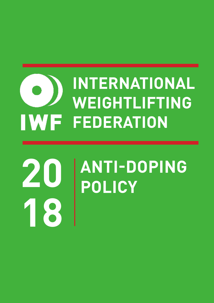# **INTERNATIONAL WEIGHTLIFTING IWF FEDERATION**

# **ANTI-DOPING 20 POLICY 18**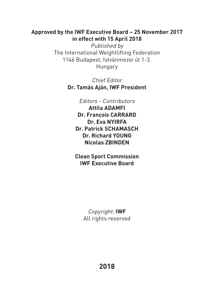#### **Approved by the IWF Executive Board – 25 November 2017 in effect with 15 April 2018**

Published by The International Weightlifting Federation 1146 Budapest, Istvánmezei út 1-3. Hungary

> Chief Editor **Dr. Tamás Aján, IWF President**

> > Editors - Contributors

**Attila ADAMFI Dr. François CARRARD Dr. Eva NYIRFA Dr. Patrick SCHAMASCH Dr. Richard YOUNG Nicolas ZBINDEN**

**Clean Sport Commission IWF Executive Board**

> Copyright: **IWF** All rights reserved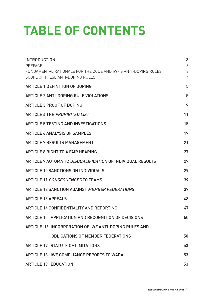# **TABLE OF CONTENTS**

| <b>INTRODUCTION</b><br><b>PREFACE</b><br>FUNDAMENTAL RATIONALE FOR THE CODE AND IWF'S ANTI-DOPING RULES<br>SCOPE OF THESE ANTI-DOPING RULES | 3<br>3<br>3<br>4 |
|---------------------------------------------------------------------------------------------------------------------------------------------|------------------|
| <b>ARTICLE 1 DEFINITION OF DOPING</b>                                                                                                       | 5                |
| <b>ARTICLE 2 ANTI-DOPING RULE VIOLATIONS</b>                                                                                                | 5                |
| <b>ARTICLE 3 PROOF OF DOPING</b>                                                                                                            | 9                |
| <b>ARTICLE 4 THE PROHIBITED LIST</b>                                                                                                        | 11               |
| <b>ARTICLE 5 TESTING AND INVESTIGATIONS</b>                                                                                                 | 15               |
| <b>ARTICLE 6 ANALYSIS OF SAMPLES</b>                                                                                                        | 19               |
| <b>ARTICLE 7 RESULTS MANAGEMENT</b>                                                                                                         | 21               |
| <b>ARTICLE 8 RIGHT TO A FAIR HEARING</b>                                                                                                    | 27               |
| <b>ARTICLE 9 AUTOMATIC DISQUALIFICATION OF INDIVIDUAL RESULTS</b>                                                                           | 29               |
| <b>ARTICLE 10 SANCTIONS ON INDIVIDUALS</b>                                                                                                  | 29               |
| <b>ARTICLE 11 CONSEQUENCES TO TEAMS</b>                                                                                                     | 39               |
| <b>ARTICLE 12 SANCTION AGAINST MEMBER FEDERATIONS</b>                                                                                       | 39               |
| <b>ARTICLE 13 APPEALS</b>                                                                                                                   | 43               |
| <b>ARTICLE 14 CONFIDENTIALITY AND REPORTING</b>                                                                                             | 47               |
| ARTICLE 15 APPLICATION AND RECOGNITION OF DECISIONS                                                                                         | 50               |
| ARTICLE 16 INCORPORATION OF IWF ANTI-DOPING RULES AND                                                                                       |                  |
| <b>OBLIGATIONS OF MEMBER FEDERATIONS</b>                                                                                                    | 50               |
| <b>ARTICLE 17 STATUTE OF LIMITATIONS</b>                                                                                                    | 53               |
| ARTICLE 18 IWF COMPLIANCE REPORTS TO WADA                                                                                                   | 53               |
| <b>ARTICLE 19 EDUCATION</b>                                                                                                                 | 53               |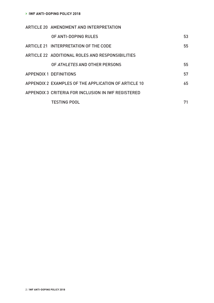| ARTICLE 20 AMENDMENT AND INTERPRETATION              |    |
|------------------------------------------------------|----|
| OF ANTI-DOPING RULES                                 | 53 |
| ARTICLE 21 INTERPRETATION OF THE CODE                | 55 |
| ARTICLE 22 ADDITIONAL ROLES AND RESPONSIBILITIES     |    |
| OF ATHLETES AND OTHER PERSONS                        | 55 |
| <b>APPENDIX 1 DEFINITIONS</b>                        | 57 |
| APPENDIX 2 EXAMPLES OF THE APPLICATION OF ARTICLE 10 | 65 |
| APPENDIX 3 CRITERIA FOR INCLUSION IN IWF REGISTERED  |    |
| <b>TESTING POOL</b>                                  | 71 |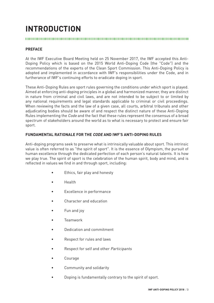## **INTRODUCTION**

#### **PREFACE**

At the IWF Executive Board Meeting held on 25 November 2017, the IWF accepted this Anti-Doping Policy which is based on the 2015 World Anti-Doping Code (the "Code") and the recommendations of the experts of the Clean Sport Commission. This Anti-Doping Policy is adopted and implemented in accordance with IWF's responsibilities under the Code, and in furtherance of IWF's continuing efforts to eradicate doping in sport.

These Anti-Doping Rules are sport rules governing the conditions under which sport is played. Aimed at enforcing anti-doping principles in a global and harmonized manner, they are distinct in nature from criminal and civil laws, and are not intended to be subject to or limited by any national requirements and legal standards applicable to criminal or civil proceedings. When reviewing the facts and the law of a given case, all courts, arbitral tribunals and other adjudicating bodies should be aware of and respect the distinct nature of these Anti-Doping Rules implementing the Code and the fact that these rules represent the consensus of a broad spectrum of stakeholders around the world as to what is necessary to protect and ensure fair sport.

#### **FUNDAMENTAL RATIONALE FOR THE CODE AND IWF'S ANTI-DOPING RULES**

Anti-doping programs seek to preserve what is intrinsically valuable about sport. This intrinsic value is often referred to as "the spirit of sport". It is the essence of Olympism, the pursuit of human excellence through the dedicated perfection of each person's natural talents. It is how we play true. The spirit of sport is the celebration of the human spirit, body and mind, and is reflected in values we find in and through sport, including:

- Ethics, fair play and honesty
- Health
- Excellence in performance
- Character and education
- Fun and joy
- Teamwork
- Dedication and commitment
- Respect for rules and laws
- Respect for self and other Participants
- **Courage**
- Community and solidarity
- Doping is fundamentally contrary to the spirit of sport.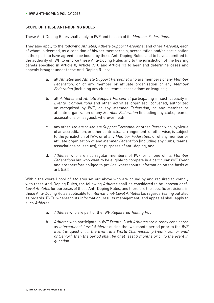#### **SCOPE OF THESE ANTI-DOPING RULES**

These Anti-Doping Rules shall apply to IWF and to each of its Member Federations.

They also apply to the following Athletes, Athlete Support Personnel and other Persons, each of whom is deemed, as a condition of his/her membership, accreditation and/or participation in the sport, to have agreed to be bound by these Anti-Doping Rules, and to have submitted to the authority of IWF to enforce these Anti-Doping Rules and to the jurisdiction of the hearing panels specified in Article 8, Article 7.10 and Article 13 to hear and determine cases and appeals brought under these Anti-Doping Rules:

- a. all Athletes and Athlete Support Personnel who are members of any Member Federation, or of any member or affiliate organization of any Member Federation (including any clubs, teams, associations or leagues);
- b. all Athletes and Athlete Support Personnel participating in such capacity in Events, Competitions and other activities organized, convened, authorized or recognized by IWF, or any Member Federation, or any member or affiliate organization of any Member Federation (including any clubs, teams, associations or leagues), wherever held;
- c. any other Athlete or Athlete Support Personnel or other Person who, by virtue of an accreditation, or other contractual arrangement, or otherwise, is subject to the jurisdiction of IWF, or of any Member Federation, or of any member or affiliate organization of any Member Federation (including any clubs, teams, associations or leagues), for purposes of anti-doping; and
- d. Athletes who are not regular members of IWF or of one of its Member Federations but who want to be eligible to compete in a particular IWF Event and are therefore obliged to provide whereabouts information on the basis of art. 5.6.5..

Within the overall pool of Athletes set out above who are bound by and required to comply with these Anti-Doping Rules, the following Athletes shall be considered to be International-Level Athletes for purposes of these Anti-Doping Rules, and therefore the specific provisions in these Anti-Doping Rules applicable to International-Level Athletes (as regards Testing but also as regards TUEs, whereabouts information, results management, and appeals) shall apply to such Athletes:

- a. Athletes who are part of the IWF Registered Testing Pool;
- b. Athletes who participate in IWF Events. Such Athletes are already considered as International-Level Athletes during the two-month period prior to the IWF Event in question. If the Event is a World Championship (Youth, Junior and/ or Senior), then the period shall be of at least 3 months prior to the event in question.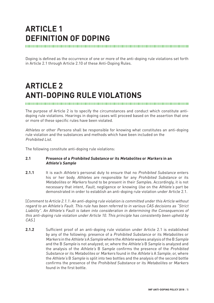## **ARTICLE 1 DEFINITION OF DOPING**

Doping is defined as the occurrence of one or more of the anti-doping rule violations set forth in Article 2.1 through Article 2.10 of these Anti-Doping Rules.

## **ARTICLE 2 ANTI-DOPING RULE VIOLATIONS**

The purpose of Article 2 is to specify the circumstances and conduct which constitute antidoping rule violations. Hearings in doping cases will proceed based on the assertion that one or more of these specific rules have been violated.

Athletes or other Persons shall be responsible for knowing what constitutes an anti-doping rule violation and the substances and methods which have been included on the Prohibited List.

The following constitute anti-doping rule violations:

#### **2.1 Presence of a Prohibited Substance or its Metabolites or Markers in an Athlete's Sample**

2.1.1 It is each Athlete's personal duty to ensure that no Prohibited Substance enters his or her body. Athletes are responsible for any Prohibited Substance or its Metabolites or Markers found to be present in their Samples. Accordingly, it is not necessary that intent, Fault, negligence or knowing Use on the Athlete's part be demonstrated in order to establish an anti-doping rule violation under Article 2.1.

[Comment to Article 2.1.1: An anti-doping rule violation is committed under this Article without regard to an Athlete's Fault. This rule has been referred to in various CAS decisions as "Strict Liability". An Athlete's Fault is taken into consideration in determining the Consequences of this anti-doping rule violation under Article 10. This principle has consistently been upheld by CAS.]

**2.1.2** Sufficient proof of an anti-doping rule violation under Article 2.1 is established by any of the following: presence of a Prohibited Substance or its Metabolites or Markers in the Athlete's A Sample where the Athlete waives analysis of the B Sample and the B Sample is not analyzed; or, where the Athlete's B Sample is analyzed and the analysis of the Athlete's B Sample confirms the presence of the Prohibited Substance or its Metabolites or Markers found in the Athlete's A Sample; or, where the Athlete's B Sample is split into two bottles and the analysis of the second bottle confirms the presence of the Prohibited Substance or its Metabolites or Markers found in the first bottle.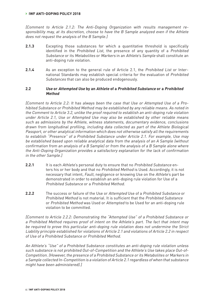#### **› IWF ANTI-DOPING POLICY 2018**

[Comment to Article 2.1.2: The Anti-Doping Organization with results management responsibility may, at its discretion, choose to have the B Sample analyzed even if the Athlete does not request the analysis of the B Sample.]

- **2.1.3** Excepting those substances for which a quantitative threshold is specifically identified in the Prohibited List, the presence of any quantity of a Prohibited Substance or its Metabolites or Markers in an Athlete's Sample shall constitute an anti-doping rule violation.
- **2.1.4** As an exception to the general rule of Article 2.1, the Prohibited List or International Standards may establish special criteria for the evaluation of Prohibited Substances that can also be produced endogenously.

#### **2.2 Use or Attempted Use by an Athlete of a Prohibited Substance or a Prohibited Method**

[Comment to Article 2.2: It has always been the case that Use or Attempted Use of a Prohibited Substance or Prohibited Method may be established by any reliable means. As noted in the Comment to Article 3.2, unlike the proof required to establish an anti-doping rule violation under Article 2.1, Use or Attempted Use may also be established by other reliable means such as admissions by the Athlete, witness statements, documentary evidence, conclusions drawn from longitudinal profiling, including data collected as part of the Athlete Biological Passport, or other analytical information which does not otherwise satisfy all the requirements to establish "Presence" of a Prohibited Substance under Article 2.1. For example, Use may be established based upon reliable analytical data from the analysis of an A Sample (without confirmation from an analysis of a B Sample) or from the analysis of a B Sample alone where the Anti-Doping Organization provides a satisfactory explanation for the lack of confirmation in the other Sample.]

- **2.2.1** It is each Athlete's personal duty to ensure that no Prohibited Substance enters his or her body and that no Prohibited Method is Used. Accordingly, it is not necessary that intent, Fault, negligence or knowing Use on the Athlete's part be demonstrated in order to establish an anti-doping rule violation for Use of a Prohibited Substance or a Prohibited Method.
- **2.2.2** The success or failure of the Use or Attempted Use of a Prohibited Substance or Prohibited Method is not material. It is sufficient that the Prohibited Substance or Prohibited Method was Used or Attempted to be Used for an anti-doping rule violation to be committed.

[Comment to Article 2.2.2: Demonstrating the "Attempted Use" of a Prohibited Substance or a Prohibited Method requires proof of intent on the Athlete's part. The fact that intent may be required to prove this particular anti-doping rule violation does not undermine the Strict Liability principle established for violations of Article 2.1 and violations of Article 2.2 in respect of Use of a Prohibited Substance or Prohibited Method.

An Athlete's "Use" of a Prohibited Substance constitutes an anti-doping rule violation unless such substance is not prohibited Out-of-Competition and the Athlete's Use takes place Out-of-Competition. (However, the presence of a Prohibited Substance or its Metabolites or Markers in a Sample collected In-Competition is a violation of Article 2.1 regardless of when that substance might have been administered).]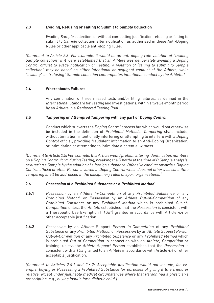#### **2.3 Evading, Refusing or Failing to Submit to Sample Collection**

Evading Sample collection, or without compelling justification refusing or failing to submit to Sample collection after notification as authorized in these Anti-Doping Rules or other applicable anti-doping rules.

[Comment to Article 2.3: For example, it would be an anti-doping rule violation of "evading Sample collection" if it were established that an Athlete was deliberately avoiding a Doping Control official to evade notification or Testing. A violation of "failing to submit to Sample collection" may be based on either intentional or negligent conduct of the Athlete, while "evading" or "refusing" Sample collection contemplates intentional conduct by the Athlete.]

#### **2.4 Whereabouts Failures**

Any combination of three missed tests and/or filing failures, as defined in the International Standard for Testing and Investigations, within a twelve-month period by an Athlete in a Registered Testing Pool.

#### **2.5 Tampering or Attempted Tampering with any part of Doping Control**

Conduct which subverts the Doping Control process but which would not otherwise be included in the definition of Prohibited Methods. Tampering shall include, without limitation, intentionally interfering or attempting to interfere with a *Doping* Control official, providing fraudulent information to an Anti-Doping Organization, or intimidating or attempting to intimidate a potential witness.

[Comment to Article 2.5: For example, this Article would prohibit altering identification numbers on a Doping Control form during Testing, breaking the B bottle at the time of B Sample analysis, or altering a Sample by the addition of a foreign substance. Offensive conduct towards a Doping Control official or other Person involved in Doping Control which does not otherwise constitute Tampering shall be addressed in the disciplinary rules of sport organizations.]

#### **2.6 Possession of a Prohibited Substance or a Prohibited Method**

- **2.6.1** Possession by an Athlete In-Competition of any Prohibited Substance or any Prohibited Method, or Possession by an Athlete Out-of-Competition of any Prohibited Substance or any Prohibited Method which is prohibited Out-of-Competition unless the Athlete establishes that the Possession is consistent with a Therapeutic Use Exemption ("TUE") granted in accordance with Article 4.4 or other acceptable justification.
- **2.6.2** Possession by an Athlete Support Person In-Competition of any Prohibited Substance or any Prohibited Method, or Possession by an Athlete Support Person Out-of-Competition of any Prohibited Substance or any Prohibited Method which is prohibited Out-of-Competition in connection with an Athlete, Competition or training, unless the Athlete Support Person establishes that the Possession is consistent with a TUE granted to an Athlete in accordance with Article 4.4 or other acceptable justification.

[Comment to Articles 2.6.1 and 2.6.2: Acceptable justification would not include, for example, buying or Possessing a Prohibited Substance for purposes of giving it to a friend or relative, except under justifiable medical circumstances where that Person had a physician's prescription, e.g., buying Insulin for a diabetic child.]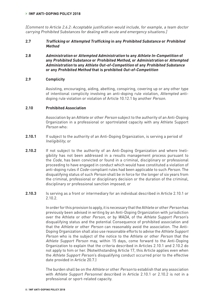#### **› IWF ANTI-DOPING POLICY 2018**

[Comment to Article 2.6.2: Acceptable justification would include, for example, a team doctor carrying Prohibited Substances for dealing with acute and emergency situations.]

#### **2.7 Trafficking or Attempted Trafficking in any Prohibited Substance or Prohibited Method**

**2.8 Administration or Attempted Administration to any Athlete In-Competition of any Prohibited Substance or Prohibited Method, or Administration or Attempted Administration to any Athlete Out-of-Competition of any Prohibited Substance or any Prohibited Method that is prohibited Out-of-Competition** 

#### **2.9 Complicity**

Assisting, encouraging, aiding, abetting, conspiring, covering up or any other type of intentional complicity involving an anti-doping rule violation, Attempted antidoping rule violation or violation of Article 10.12.1 by another Person.

#### **2.10 Prohibited Association**

Association by an Athlete or other Person subject to the authority of an Anti-Doping Organization in a professional or sportrelated capacity with any Athlete Support Person who:

- **2.10.1** If subject to the authority of an Anti-Doping Organization, is serving a period of Ineligibility; or
- **2.10.2** If not subject to the authority of an Anti-Doping Organization and where Ineligibility has not been addressed in a results management process pursuant to the Code, has been convicted or found in a criminal, disciplinary or professional proceeding to have engaged in conduct which would have constituted a violation of anti-doping rules if Code-compliant rules had been applicable to such Person. The disqualifying status of such Person shall be in force for the longer of six years from the criminal, professional or disciplinary decision or the duration of the criminal, disciplinary or professional sanction imposed; or
- **2.10.3** Is serving as a front or intermediary for an individual described in Article 2.10.1 or 2.10.2.

In order for this provision to apply, it is necessary that the Athlete or other Person has previously been advised in writing by an Anti-Doping Organization with jurisdiction over the Athlete or other Person, or by WADA, of the Athlete Support Person's disqualifying status and the potential Consequence of prohibited association and that the Athlete or other Person can reasonably avoid the association. The Anti-Doping Organization shall also use reasonable efforts to advise the Athlete Support Person who is the subject of the notice to the Athlete or other Person that the Athlete Support Person may, within 15 days, come forward to the Anti-Doping Organization to explain that the criteria described in Articles 2.10.1 and 2.10.2 do not apply to him or her. (Notwithstanding Article 17, this Article applies even when the Athlete Support Person's disqualifying conduct occurred prior to the effective date provided in Article 20.7.)

The burden shall be on the Athlete or other Person to establish that any association with Athlete Support Personnel described in Article 2.10.1 or 2.10.2 is not in a professional or sport-related capacity.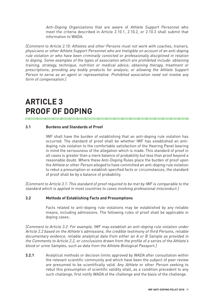Anti-Doping Organizations that are aware of Athlete Support Personnel who meet the criteria described in Article 2.10.1, 2.10.2, or 2.10.3 shall submit that information to WADA.

[Comment to Article 2.10: Athletes and other Persons must not work with coaches, trainers, physicians or other Athlete Support Personnel who are Ineligible on account of an anti-doping rule violation or who have been criminally convicted or professionally disciplined in relation to doping. Some examples of the types of association which are prohibited include: obtaining training, strategy, technique, nutrition or medical advice; obtaining therapy, treatment or prescriptions; providing any bodily products for analysis; or allowing the Athlete Support Person to serve as an agent or representative. Prohibited association need not involve any form of compensation.]

## **ARTICLE 3 PROOF OF DOPING**

#### **3.1 Burdens and Standards of Proof**

IWF shall have the burden of establishing that an anti-doping rule violation has occurred. The standard of proof shall be whether IWF has established an antidoping rule violation to the comfortable satisfaction of the Hearing Panel bearing in mind the seriousness of the allegation which is made. This standard of proof in all cases is greater than a mere balance of probability but less than proof beyond a reasonable doubt. Where these Anti-Doping Rules place the burden of proof upon the Athlete or other Person alleged to have committed an anti-doping rule violation to rebut a presumption or establish specified facts or circumstances, the standard of proof shall be by a balance of probability.

[Comment to Article 3.1: This standard of proof required to be met by IWF is comparable to the standard which is applied in most countries to cases involving professional misconduct.]

#### **3.2 Methods of Establishing Facts and Presumptions**

Facts related to anti-doping rule violations may be established by any reliable means, including admissions. The following rules of proof shall be applicable in doping cases:

[Comment to Article 3.2: For example, IWF may establish an anti-doping rule violation under Article 2.2 based on the Athlete's admissions, the credible testimony of third Persons, reliable documentary evidence, reliable analytical data from either an A or B Sample as provided in the Comments to Article 2.2, or conclusions drawn from the profile of a series of the Athlete's blood or urine Samples, such as data from the Athlete Biological Passport.]

**3.2.1** Analytical methods or decision limits approved by WADA after consultation within the relevant scientific community and which have been the subject of peer review are presumed to be scientifically valid. Any Athlete or other Person seeking to rebut this presumption of scientific validity shall, as a condition precedent to any such challenge, first notify WADA of the challenge and the basis of the challenge.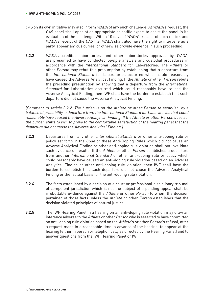- CAS on its own initiative may also inform WADA of any such challenge. At WADA's request, the CAS panel shall appoint an appropriate scientific expert to assist the panel in its evaluation of the challenge. Within 10 days of WADA's receipt of such notice, and WADA's receipt of the CAS file, WADA shall also have the right to intervene as a party, appear amicus curiae, or otherwise provide evidence in such proceeding.
- **3.2.2** WADA-accredited laboratories, and other laboratories approved by WADA, are presumed to have conducted Sample analysis and custodial procedures in accordance with the International Standard for Laboratories. The Athlete or other Person may rebut this presumption by establishing that a departure from the International Standard for Laboratories occurred which could reasonably have caused the Adverse Analytical Finding. If the Athlete or other Person rebuts the preceding presumption by showing that a departure from the International Standard for Laboratories occurred which could reasonably have caused the Adverse Analytical Finding, then IWF shall have the burden to establish that such departure did not cause the Adverse Analytical Finding.

[Comment to Article 3.2.2: The burden is on the Athlete or other Person to establish, by a balance of probability, a departure from the International Standard for Laboratories that could reasonably have caused the Adverse Analytical Finding. If the Athlete or other Person does so, the burden shifts to IWF to prove to the comfortable satisfaction of the hearing panel that the departure did not cause the Adverse Analytical Finding.]

- **3.2.3** Departures from any other International Standard or other anti-doping rule or policy set forth in the Code or these Anti-Doping Rules which did not cause an Adverse Analytical Finding or other anti-doping rule violation shall not invalidate such evidence or results. If the Athlete or other Person establishes a departure from another International Standard or other anti-doping rule or policy which could reasonably have caused an anti-doping rule violation based on an Adverse Analytical Finding or other anti-doping rule violation, then IWF shall have the burden to establish that such departure did not cause the Adverse Analytical Finding or the factual basis for the anti-doping rule violation.
- **3.2.4** The facts established by a decision of a court or professional disciplinary tribunal of competent jurisdiction which is not the subject of a pending appeal shall be irrebuttable evidence against the Athlete or other Person to whom the decision pertained of those facts unless the Athlete or other Person establishes that the decision violated principles of natural justice.
- **3.2.5** The IWF Hearing Panel in a hearing on an anti-doping rule violation may draw an inference adverse to the Athlete or other Person who is asserted to have committed an anti-doping rule violation based on the Athlete's or other Person's refusal, after a request made in a reasonable time in advance of the hearing, to appear at the hearing (either in person or telephonically as directed by the Hearing Panel) and to answer questions from the IWF Hearing Panel or IWF.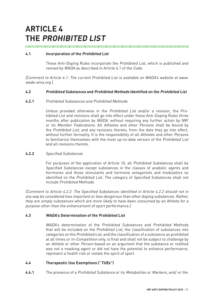## **ARTICLE 4 THE PROHIBITED LIST**

#### 

#### **4.1 Incorporation of the Prohibited List**

These Anti-Doping Rules incorporate the Prohibited List, which is published and revised by WADA as described in Article 4.1 of the Code.

[Comment to Article 4.1: The current Prohibited List is available on WADA's website at www. wada-ama.org.]

#### **4.2 Prohibited Substances and Prohibited Methods Identified on the Prohibited List**

#### **4.2.1** Prohibited Substances and Prohibited Methods

Unless provided otherwise in the Prohibited List and/or a revision, the Prohibited List and revisions shall go into effect under these Anti-Doping Rules three months after publication by WADA, without requiring any further action by IWF or its Member Federations. All Athletes and other Persons shall be bound by the Prohibited List, and any revisions thereto, from the date they go into effect, without further formality. It is the responsibility of all Athletes and other Persons to familiarize themselves with the most up-to-date version of the Prohibited List and all revisions thereto.

#### **4.2.2** Specified Substances

For purposes of the application of Article 10, all Prohibited Substances shall be Specified Substances except substances in the classes of anabolic agents and hormones and those stimulants and hormone antagonists and modulators so identified on the Prohibited List. The category of Specified Substances shall not include Prohibited Methods.

[Comment to Article 4.2.2: The Specified Substances identified in Article 4.2.2 should not in any way be considered less important or less dangerous than other doping substances. Rather, they are simply substances which are more likely to have been consumed by an Athlete for a purpose other than the enhancement of sport performance.]

#### **4.3 WADA's Determination of the Prohibited List**

WADA's determination of the Prohibited Substances and Prohibited Methods that will be included on the Prohibited List, the classification of substances into categories on the Prohibited List, and the classification of a substance as prohibited at all times or In-Competition only, is final and shall not be subject to challenge by an Athlete or other Person based on an argument that the substance or method was not a masking agent or did not have the potential to enhance performance, represent a health risk or violate the spirit of sport.

#### **4.4 Therapeutic Use Exemptions ("TUEs")**

**4.4.1** The presence of a Prohibited Substance or its Metabolites or Markers, and/ or the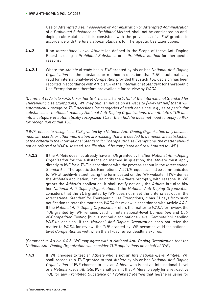Use or Attempted Use, Possession or Administration or Attempted Administration of a Prohibited Substance or Prohibited Method, shall not be considered an antidoping rule violation if it is consistent with the provisions of a TUE granted in accordance with the International Standard for Therapeutic Use Exemptions.

- **4.4.2** If an International-Level Athlete (as defined in the Scope of these Anti-Doping Rules) is using a Prohibited Substance or a Prohibited Method for therapeutic reasons:
- **4.4.2.1** Where the Athlete already has a TUE granted by his or her National Anti-Doping Organization for the substance or method in question, that TUE is automatically valid for international-level Competition provided that such TUE decision has been reported in accordance with Article 5.4 of the International Standard for Therapeutic Use Exemption and therefore are available for re-view by WADA.

[Comment to Article 4.4.2.1: Further to Articles 5.6 and 7.1(a) of the International Standard for Therapeutic Use Exemptions, IWF may publish notice on its website [www.iwf.net] that it will automatically recognize TUE decisions (or categories of such decisions, e.g., as to particular substances or methods) made by National Anti-Doping Organizations. If an Athlete's TUE falls into a category of automatically recognized TUEs, then he/she does not need to apply to IWF for recognition of that TUE.

If IWF refuses to recognize a TUE granted by a National Anti-Doping Organization only because medical records or other information are missing that are needed to demonstrate satisfaction of the criteria in the International Standard for Therapeutic Use Exemptions, the matter should not be referred to WADA. Instead, the file should be completed and resubmitted to IWF.]

**4.4.2.2** If the Athlete does not already have a TUE granted by his/her National Anti-Doping Organization for the substance or method in question, the Athlete must apply directly to IWF for a TUE in accordance with the process set out in the International Standard for Therapeutic Use Exemptions. All TUE requests shall be communicated to IWF at tue@iwfnet.net, using the form posted on the IWF website. If IWF denies the Athlete's application, it must notify the Athlete promptly, with reasons. If IWF grants the Athlete's application, it shall notify not only the Athlete but also his/ her National Anti-Doping Organization. If the National Anti-Doping Organization considers that the TUE granted by IWF does not meet the criteria set out in the International Standard for Therapeutic Use Exemptions, it has 21 days from such notification to refer the matter to WADA for review in accordance with Article 4.4.6. If the National Anti-Doping Organization refers the matter to WADA for review, the TUE granted by IWF remains valid for international-level Competition and Outof-Competition Testing (but is not valid for national-level Competition) pending WADA's decision. If the National Anti-Doping Organization does not refer the matter to WADA for review, the TUE granted by IWF becomes valid for nationallevel Competition as well when the 21-day review deadline expires.

[Comment to Article 4.4.2: IWF may agree with a National Anti-Doping Organization that the National Anti-Doping Organization will consider TUE applications on behalf of IWF.]

**4.4.3** If IWF chooses to test an Athlete who is not an International-Level Athlete, IWF shall recognize a TUE granted to that Athlete by his or her National Anti-Doping Organization. If IWF chooses to test an Athlete who is not an International-Level or a National-Level Athlete, IWF shall permit that Athlete to apply for a retroactive TUE for any Prohibited Substance or Prohibited Method that he/she is using for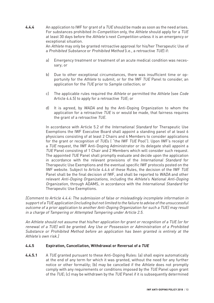**4.4.4** An application to IWF for grant of a TUE should be made as soon as the need arises. For substances prohibited In-Competition only, the Athlete should apply for a TUE at least 30 days before the Athlete's next Competition unless it is an emergency or exceptional situation.

An Athlete may only be granted retroactive approval for his/her Therapeutic Use of a Prohibited Substance or Prohibited Method (i.e., a retroactive TUE) if:

- a) Emergency treatment or treatment of an acute medical condition was necessary; or
- b) Due to other exceptional circumstances, there was insufficient time or opportunity for the Athlete to submit, or for the IWF TUE Panel to consider, an application for the TUE prior to Sample collection; or
- c) The applicable rules required the Athlete or permitted the Athlete (see Code Article 4.4.5) to apply for a retroactive TUE; or
- d) It is agreed, by WADA and by the Anti-Doping Organization to whom the application for a retroactive TUE is or would be made, that fairness requires the grant of a retroactive TUE.

In accordance with Article 5.2 of the International Standard for Therapeutic Use Exemptions the IWF Executive Board shall appoint a standing panel of at least 6 physicians consisting of at least 2 Chairs and 4 Members to consider applications for the grant or recognition of TUEs ( "the IWF TUE Pool"). Upon IWF's receipt of a TUE request, the IWF Anti-Doping Administrator or its delegate shall appoint a TUE Panel consisting of 1 Chair and 2 Members which will consider such request. The appointed TUE Panel shall promptly evaluate and decide upon the application in accordance with the relevant provisions of the International Standard for Therapeutic Use Exemptions and the eventual specific IWF protocols posted on the IWF website. Subject to Article 4.4.6 of these Rules, the decision of the IWF TUE Panel shall be the final decision of IWF, and shall be reported to WADA and other relevant Anti-Doping Organizations, including the Athlete's National Anti-Doping Organization, through ADAMS, in accordance with the International Standard for Therapeutic Use Exemptions.

[Comment to Article 4.4.4: The submission of false or misleadingly incomplete information in support of a TUE application (including but not limited to the failure to advise of the unsuccessful outcome of a prior application to another Anti-Doping Organization for such a TUE) may result in a charge of Tampering or Attempted Tampering under Article 2.5.

An Athlete should not assume that his/her application for grant or recognition of a TUE (or for renewal of a TUE) will be granted. Any Use or Possession or Administration of a Prohibited Substance or Prohibited Method before an application has been granted is entirely at the Athlete's own risk.]

#### **4.4.5 Expiration, Cancellation, Withdrawal or Reversal of a TUE**

**4.4.5.1** A TUE granted pursuant to these Anti-Doping Rules: (a) shall expire automatically at the end of any term for which it was granted, without the need for any further notice or other formality; (b) may be cancelled if the Athlete does not promptly comply with any requirements or conditions imposed by the TUE Panel upon grant of the TUE; (c) may be withdrawn by the TUE Panel if it is subsequently determined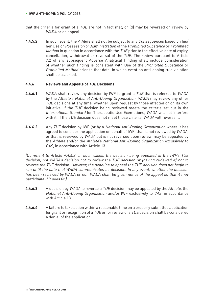#### **› IWF ANTI-DOPING POLICY 2018**

- that the criteria for grant of a TUE are not in fact met; or (d) may be reversed on review by WADA or on appeal.
- **4.4.5.2** In such event, the Athlete shall not be subject to any Consequences based on his/ her Use or Possession or Administration of the Prohibited Substance or Prohibited Method in question in accordance with the TUE prior to the effective date of expiry, cancellation, withdrawal or reversal of the TUE. The review pursuant to Article 7.2 of any subsequent Adverse Analytical Finding shall include consideration of whether such finding is consistent with Use of the Prohibited Substance or Prohibited Method prior to that date, in which event no anti-doping rule violation shall be asserted.

#### **4.4.6 Reviews and Appeals of TUE Decisions**

- **4.4.6.1** WADA shall review any decision by IWF to grant a TUE that is referred to WADA by the Athlete's National Anti-Doping Organization. WADA may review any other TUE decisions at any time, whether upon request by those affected or on its own initiative. If the TUE decision being reviewed meets the criteria set out in the International Standard for Therapeutic Use Exemptions, WADA will not interfere with it. If the TUE decision does not meet those criteria, WADA will reverse it.
- **4.4.6.2** Any TUE decision by IWF (or by a National Anti-Doping Organization where it has agreed to consider the application on behalf of IWF) that is not reviewed by WADA, or that is reviewed by WADA but is not reversed upon review, may be appealed by the Athlete and/or the Athlete's National Anti-Doping Organization exclusively to CAS, in accordance with Article 13.

[Comment to Article 4.4.6.2: In such cases, the decision being appealed is the IWF's TUE decision, not WADA's decision not to review the TUE decision or (having reviewed it) not to reverse the TUE decision. However, the deadline to appeal the TUE decision does not begin to run until the date that WADA communicates its decision. In any event, whether the decision has been reviewed by WADA or not, WADA shall be given notice of the appeal so that it may participate if it sees fit.]

- **4.4.6.3** A decision by WADA to reverse a TUE decision may be appealed by the Athlete, the National Anti-Doping Organization and/or IWF exclusively to CAS, in accordance with Article 13.
- **4.4.6.4** A failure to take action within a reasonable time on a properly submitted application for grant or recognition of a TUE or for review of a TUE decision shall be considered a denial of the application.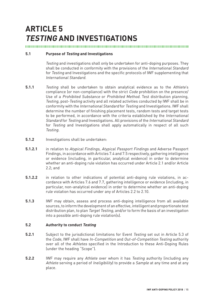## **ARTICLE 5 TESTING AND INVESTIGATIONS**

#### **5.1 Purpose of Testing and Investigations**

Testing and investigations shall only be undertaken for anti-doping purposes. They shall be conducted in conformity with the provisions of the International Standard for Testing and Investigations and the specific protocols of IWF supplementing that International Standard.

- **5.1.1** Testing shall be undertaken to obtain analytical evidence as to the Athlete's compliance (or non-compliance) with the strict Code prohibition on the presence/ Use of a Prohibited Substance or Prohibited Method. Test distribution planning, Testing, post-Testing activity and all related activities conducted by IWF shall be in conformity with the International Standard for Testing and Investigations. IWF shall determine the number of finishing placement tests, random tests and target tests to be performed, in accordance with the criteria established by the International Standard for Testing and Investigations. All provisions of the International Standard for Testing and Investigations shall apply automatically in respect of all such Testing.
- **5.1.2** Investigations shall be undertaken:
- **5.1.2.1** in relation to Atypical Findings, Atypical Passport Findings and Adverse Passport Findings, in accordance with Articles 7.4 and 7.5 respectively, gathering intelligence or evidence (including, in particular, analytical evidence) in order to determine whether an anti-doping rule violation has occurred under Article 2.1 and/or Article 2.2; and
- **5.1.2.2** in relation to other indications of potential anti-doping rule violations, in accordance with Articles 7.6 and 7.7, gathering intelligence or evidence (including, in particular, non-analytical evidence) in order to determine whether an anti-doping rule violation has occurred under any of Articles 2.2 to 2.10.
- **5.1.3** IWF may obtain, assess and process anti-doping intelligence from all available sources, to inform the development of an effective, intelligent and proportionate test distribution plan, to plan Target Testing, and/or to form the basis of an investigation into a possible anti-doping rule violation(s).

#### **5.2 Authority to conduct Testing**

- **5.2.1** Subject to the jurisdictional limitations for Event Testing set out in Article 5.3 of the Code, IWF shall have In-Competition and Out-of-Competition Testing authority over all of the Athletes specified in the Introduction to these Anti-Doping Rules (under the heading "Scope").
- **5.2.2** IWF may require any Athlete over whom it has Testing authority (including any Athlete serving a period of Ineligibility) to provide a Sample at any time and at any place.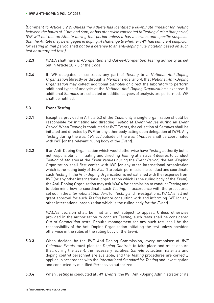[Comment to Article 5.2.2: Unless the Athlete has identified a 60-minute timeslot for Testing between the hours of 11pm and 6am, or has otherwise consented to Testing during that period, IWF will not test an Athlete during that period unless it has a serious and specific suspicion that the Athlete may be engaged in doping. A challenge to whether IWF had sufficient suspicion for Testing in that period shall not be a defense to an anti-doping rule violation based on such test or attempted test.]

- **5.2.3** WADA shall have In-Competition and Out-of-Competition Testing authority as set out in Article 20.7.8 of the Code.
- **5.2.4** If IWF delegates or contracts any part of Testing to a National Anti-Doping Organization (directly or through a Member Federation), that National Anti-Doping Organization may collect additional Samples or direct the laboratory to perform additional types of analysis at the National Anti-Doping Organization's expense. If additional Samples are collected or additional types of analysis are performed, IWF shall be notified.

#### **5.3 Event Testing**

- **5.3.1** Except as provided in Article 5.3 of the *Code*, only a single organization should be responsible for initiating and directing Testing at Event Venues during an Event Period. When Testing is conducted at IWF Events, the collection of Samples shall be initiated and directed by IWF (or any other body acting upon delegation of IWF). Any Testing during the Event Period outside of the Event Venues shall be coordinated with IWF (or the relevant ruling body of the Event).
- **5.3.2** If an Anti-Doping Organization which would otherwise have Testing authority but is not responsible for initiating and directing Testing at an Event desires to conduct Testing of Athletes at the Event Venues during the Event Period, the Anti-Doping Organization shall first confer with IWF (or any other international organization which is the ruling body of the *Event*) to obtain permission to conduct and coordinate such Testing. If the Anti-Doping Organization is not satisfied with the response from IWF (or any other international organization which is the ruling body of the Event), the Anti-Doping Organization may ask WADA for permission to conduct Testing and to determine how to coordinate such Testing, in accordance with the procedures set out in the International Standard for Testing and Investigations. WADA shall not grant approval for such Testing before consulting with and informing IWF (or any other international organization which is the ruling body for the Event).

WADA's decision shall be final and not subject to appeal. Unless otherwise provided in the authorization to conduct Testing, such tests shall be considered Out-of-Competition tests. Results management for any such test shall be the responsibility of the Anti-Doping Organization initiating the test unless provided otherwise in the rules of the ruling body of the Event.

- **5.3.3** When decided by the IWF Anti-Doping Commission, every organiser of IWF Calendar Events must plan for Doping Controls to take place and must ensure that, during the Event, the necessary facilities, Sample collection materials and doping control personnel are available, and the Testing procedures are correctly applied in accordance with the International Standard for Testing and Investigation and conducted by qualified Persons so authorized.
- **5.3.4** When Testing is conducted at IWF Events, the IWF Anti-Doping Administrator or its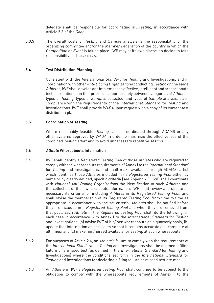delegate shall be responsible for coordinating all Testing, in accordance with Article 5.3 of the Code.

**5.3.5** The overall costs of Testing and Sample analysis is the responsibility of the organizing committee and/or the Member Federation of the country in which the Competition or Event is taking place. IWF may at its own discretion decide to take responsibility for those costs.

#### **5.4 Test Distribution Planning**

Consistent with the International Standard for Testing and Investigations, and in coordination with other Anti-Doping Organizations conducting Testing on the same Athletes, IWF shall develop and implement an effective, intelligent and proportionate test distribution plan that prioritizes appropriately between categories of Athletes, types of Testing, types of Samples collected, and types of Sample analysis, all in compliance with the requirements of the International Standard for Testing and Investigations. IWF shall provide WADA upon request with a copy of its current test distribution plan.

#### **5.5 Coordination of Testing**

Where reasonably feasible, Testing can be coordinated through ADAMS or any other systems approved by WADA in order to maximize the effectiveness of the combined Testing effort and to avoid unnecessary repetitive Testing.

#### **5.6 Athlete Whereabouts Information**

- 5.6.1 IWF shall identify a Registered Testing Pool of those Athletes who are required to comply with the whereabouts requirements of Annex I to the International Standard for Testing and Investigations, and shall make available through ADAMS, a list which identifies those Athletes included in its Registered Testing Pool either by name or by clearly defined, specific criteria (see Appendix 3). IWF shall coordinate with National Anti-Doping Organizations the identification of such Athletes and the collection of their whereabouts information. IWF shall review and update as necessary its criteria for including Athletes in its Registered Testing Pool, and shall revise the membership of its Registered Testing Pool from time to time as appropriate in accordance with the set criteria. Athletes shall be notified before they are included in a Registered Testing Pool and when they are removed from that pool. Each Athlete in the Registered Testing Pool shall do the following, in each case in accordance with Annex I to the International Standard for Testing and Investigations: (a) advise IWF of his/ her whereabouts on a quarterly basis; (b) update that information as necessary so that it remains accurate and complete at all times; and (c) make him/herself available for Testing at such whereabouts.
- 5.6.2 For purposes of Article 2.4, an Athlete's failure to comply with the requirements of the International Standard for Testing and Investigations shall be deemed a filing failure or a missed test (as defined in the International Standard for Testing and Investigations) where the conditions set forth in the International Standard for Testing and Investigations for declaring a filing failure or missed test are met.
- 5.6.3 An Athlete in IWF's Registered Testing Pool shall continue to be subject to the obligation to comply with the whereabouts requirements of Annex I to the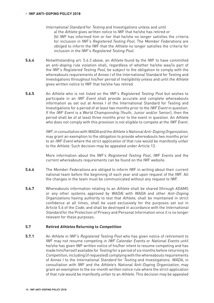International Standard for Testing and Investigations unless and until a) the Athlete gives written notice to IWF that he/she has retired or (b) IWF has informed him or her that he/she no longer satisfies the criteria for inclusion in IWF's Registered Testing Pool. The Member Federations are obliged to inform the IWF that the Athlete no longer satisfies the criteria for inclusion in the IWF's Registered Testing Pool.

- **5.6.4** Notwithstanding art. 5.6.3 above, an Athlete found by the IWF to have committed an anti-doping rule violation shall, regardless of whether he/she was/is part of the IWF's Registered Testing Pool, be subject to the obligation to comply with the whereabouts requirements of Annex I of the International Standard for Testing and Investigations throughout his/her period of Ineligibility unless and until the Athlete gives written notice to IWF that he/she has retired.
- **5.6.5** An Athlete who is not listed on the IWF's Registered Testing Pool but wishes to participate in an IWF Event shall provide accurate and complete whereabouts information as set out at Annex I of the International Standard for Testing and Investigations for a period of at least two months prior to the IWF Event in question. If the IWF Event is a World Championship (Youth, Junior and/or Senior), then the period shall be of at least three months prior to the event in question. An Athlete who does not comply with this provision is not eligible to compete at the *IWF Event.*

IWF, in consultation with WADA and the Athlete's National Anti-Doping Organization, may grant an exemption to the obligation to provide whereabouts two months prior to an IWF Event where the strict application of that rule would be manifestly unfair to the Athlete. Such decision may be appealed under Article 13.

More information about the IWF's Registered Testing Pool, IWF Events and the current whereabouts requirements can be found on the IWF website.

- **5.6.6** The Member Federations are obliged to inform IWF in writing about their current national team before the beginning of each year and upon request of the IWF. All the changes in the team must be communicated without any request to IWF.
- **5.6.7** Whereabouts information relating to an Athlete shall be shared (through ADAMS or any other systems approved by WADA) with WADA and other Anti-Doping Organizations having authority to test that Athlete, shall be maintained in strict confidence at all times, shall be used exclusively for the purposes set out in Article 5.6 of the Code, and shall be destroyed in accordance with the International Standard for the Protection of Privacy and Personal Information once it is no longer relevant for these purposes.

#### **5.7 Retired Athletes Returning to Competition**

**5.7.1** An Athlete in IWF's Registered Testing Pool who has given notice of retirement to IWF may not resume competing in IWF Calendar Events or National Events until he/she has given IWF written notice of his/her intent to resume competing and has made him/herself available for Testing for a period of six months before returning to Competition, including (if requested) complying with the whereabouts requirements of Annex I to the International Standard for Testing and Investigations. WADA, in consultation with IWF and the Athlete's National Anti-Doping Organization, may grant an exemption to the six-month written notice rule where the strict application of that rule would be manifestly unfair to an Athlete. This decision may be appealed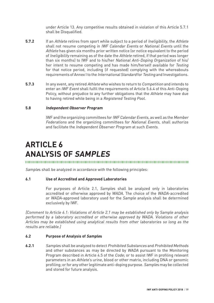under Article 13. Any competitive results obtained in violation of this Article 5.7.1 shall be Disqualified.

- **5.7.2** If an Athlete retires from sport while subject to a period of Ineligibility, the Athlete shall not resume competing in IWF Calendar Events or National Events until the Athlete has given six months prior written notice (or notice equivalent to the period of Ineligibility remaining as of the date the Athlete retired, if that period was longer than six months) to IWF and to his/her National Anti-Doping Organization of his/ her intent to resume competing and has made him/herself available for Testing for that notice period, including (if requested) complying with the whereabouts requirements of Annex I to the International Standard for Testing and Investigations.
- **5.7.3** In any event, any retired Athlete who wishes to return to Competition and intends to enter an IWF Event shall fulfil the requirements of Article 5.6.4 of this Anti-Doping Policy, without prejudice to any further obligations that the Athlete may have due to having retired while being in a Registered Testing Pool.

#### **5.8 Independent Observer Program**

IWF and the organizing committees for IWF Calendar Events, as well as the Member Federations and the organizing committees for National Events, shall authorize and facilitate the Independent Observer Program at such Events.

## **ARTICLE 6 ANALYSIS OF SAMPLES**

Samples shall be analyzed in accordance with the following principles:

#### **6.1 Use of Accredited and Approved Laboratories**

For purposes of Article 2.1, Samples shall be analyzed only in laboratories accredited or otherwise approved by WADA. The choice of the WADA-accredited or WADA-approved laboratory used for the Sample analysis shall be determined exclusively by IWF.

[Comment to Article 6.1: Violations of Article 2.1 may be established only by Sample analysis performed by a laboratory accredited or otherwise approved by WADA. Violations of other Articles may be established using analytical results from other laboratories so long as the results are reliable.]

#### **6.2 Purpose of Analysis of Samples**

**6.2.1** Samples shall be analyzed to detect Prohibited Substances and Prohibited Methods and other substances as may be directed by WADA pursuant to the Monitoring Program described in Article 4.5 of the Code; or to assist IWF in profiling relevant parameters in an Athlete's urine, blood or other matrix, including DNA or genomic profiling; or for any other legitimate anti-doping purpose. Samples may be collected and stored for future analysis.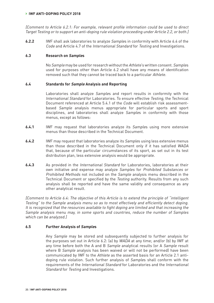#### **› IWF ANTI-DOPING POLICY 2018**

[Comment to Article 6.2.1: For example, relevant profile information could be used to direct Target Testing or to support an anti-doping rule violation proceeding under Article 2.2, or both.]

**6.2.2** IWF shall ask laboratories to analyze Samples in conformity with Article 6.4 of the Code and Article 4.7 of the International Standard for Testing and Investigations.

#### **6.3 Research on Samples**

No Sample may be used for research without the Athlete's written consent. Samples used for purposes other than Article 6.2 shall have any means of identification removed such that they cannot be traced back to a particular Athlete.

#### **6.4 Standards for Sample Analysis and Reporting**

Laboratories shall analyze Samples and report results in conformity with the International Standard for Laboratories. To ensure effective Testing, the Technical Document referenced at Article 5.4.1 of the Code will establish risk assessmentbased Sample analysis menus appropriate for particular sports and sport disciplines, and laboratories shall analyze Samples in conformity with those menus, except as follows:

- **6.4.1** IWF may request that laboratories analyze its Samples using more extensive menus than those described in the Technical Document.
- **6.4.2** IWF may request that laboratories analyze its Samples using less extensive menus than those described in the Technical Document only if it has satisfied WADA that, because of the particular circumstances of its sport, as set out in its test distribution plan, less extensive analysis would be appropriate.
- **6.4.3** As provided in the International Standard for Laboratories, laboratories at their own initiative and expense may analyze Samples for Prohibited Substances or Prohibited Methods not included on the Sample analysis menu described in the Technical Document or specified by the Testing authority. Results from any such analysis shall be reported and have the same validity and consequence as any other analytical result.

[Comment to Article 6.4: The objective of this Article is to extend the principle of "intelligent Testing" to the Sample analysis menu so as to most effectively and efficiently detect doping. It is recognized that the resources available to fight doping are limited and that increasing the Sample analysis menu may, in some sports and countries, reduce the number of Samples which can be analyzed.]

#### **6.5 Further Analysis of Samples**

Any Sample may be stored and subsequently subjected to further analysis for the purposes set out in Article 6.2: (a) by WADA at any time; and/or (b) by IWF at any time before both the A and B Sample analytical results (or A Sample result where B Sample analysis has been waived or will not be performed) have been communicated by IWF to the Athlete as the asserted basis for an Article 2.1 antidoping rule violation. Such further analysis of Samples shall conform with the requirements of the International Standard for Laboratories and the International Standard for Testing and Investigations.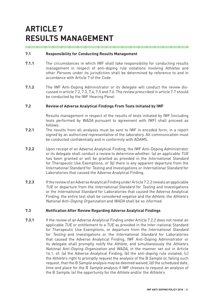## **ARTICLE 7 RESULTS MANAGEMENT**

#### 

#### **7.1 Responsibility for Conducting Results Management**

- **7.1.1** The circumstances in which IWF shall take responsibility for conducting results management in respect of anti-doping rule violations involving Athletes and other Persons under its jurisdiction shall be determined by reference to and in accordance with Article 7 of the Code.
- **7.1.2** The IWF Anti-Doping Administrator or its delegate will conduct the review discussed in article 7.2, 7.3, 7.4, 7.5 and 7.6. The review prescribed in article 7.7 should be conducted by the IWF Hearing Panel

#### **7.2 Review of Adverse Analytical Findings From Tests Initiated by IWF**

Results management in respect of the results of tests initiated by IWF (including tests performed by WADA pursuant to agreement with IWF) shall proceed as follows:

- **7.2.1** The results from all analyses must be sent to IWF in encoded form, in a report signed by an authorized representative of the laboratory. All communication must be conducted confidentially and in conformity with ADAMS.
- **7.2.2** Upon receipt of an Adverse Analytical Finding, the IWF Anti-Doping Administrator or its delegate shall conduct a review to determine whether: (a) an applicable TUE has been granted or will be granted as provided in the International Standard for Therapeutic Use Exemptions, or (b) there is any apparent departure from the International Standard for Testing and Investigations or International Standard for Laboratories that caused the Adverse Analytical Finding.
- **7.2.3** If the review of an Adverse Analytical Finding under Article 7.2.2 reveals an applicable TUE or departure from the International Standard for Testing and Investigations or the International Standard for Laboratories that caused the Adverse Analytical Finding, the entire test shall be considered negative and the Athlete, the Athlete's National Anti-Doping Organization and WADA shall be so informed.

#### **7.3 Notification After Review Regarding Adverse Analytical Findings**

**7.3.1** If the review of an Adverse Analytical Finding under Article 7.2.2 does not reveal an applicable TUE or entitlement to a TUE as provided in the Inter-national Standard for Therapeutic Use Exemptions, or departure from the International Standard for Testing and Investigations or the International Standard for Laboratories that caused the Adverse Analytical Finding, IWF Anti-Doping Administrator or its delegate shall promptly notify the Athlete, and simultaneously the Athlete's National Anti-Doping Organization and WADA, in the manner set out in Article 14.1, of: (a) the Adverse Analytical Finding; (b) the anti-doping rule violated; (c) the Athlete's right to promptly request the analysis of the B Sample or, failing such request, that the B Sample analysis may be deemed waived; (d) the scheduled date, time and place for the B Sample analysis if IWF chooses to request an analysis of the B Sample; (e) the opportunity for the Athlete and/or the Athlete's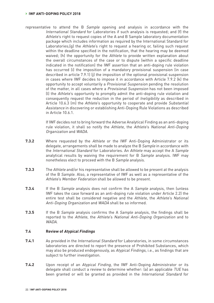representative to attend the B Sample opening and analysis in accordance with the International Standard for Laboratories if such analysis is requested; and (f) the Athlete's right to request copies of the A and B Sample laboratory documentation package which includes information as required by the International Standard for Laboratories; (g) the Athlete's right to request a hearing or, failing such request within the deadline specified in the notification, that the hearing may be deemed waived; (h) the opportunity for the Athlete to provide written explanation about the overall circumstances of the case or to dispute (within a specific deadline indicated in the notification) the IWF assertion that an anti-doping rule violation has occurred (i) the imposition of a mandatory provisional suspension (in case described in article 7.9.1) (j) the imposition of the optional provisional suspension in cases where IWF decides to impose it in accordance with Article 7.9.2 (k) the opportunity to accept voluntarily a Provisional Suspension pending the resolution of the matter, in all cases where a Provisional Suspension has not been imposed (l) the Athlete's opportunity to promptly admit the anti-doping rule violation and consequently request the reduction in the period of Ineligibility as described in Article 10.6.3 (m) the Athlete's opportunity to cooperate and provide Substantial Assistance in discovering or establishing Anti-Doping Rule Violations as described in Article 10.6.1.

> If IWF decides not to bring forward the Adverse Analytical Finding as an anti-doping rule violation, it shall so notify the Athlete, the Athlete's National Anti-Doping Organization and WADA.

- **7.3.2** Where requested by the Athlete or the IWF Anti-Doping Administrator or its delegate, arrangements shall be made to analyze the B Sample in accordance with the International Standard for Laboratories. An Athlete may accept the A Sample analytical results by waiving the requirement for B Sample analysis. IWF may nonetheless elect to proceed with the B Sample analysis.
- **7.3.3** The Athlete and/or his representative shall be allowed to be present at the analysis of the B Sample. Also, a representative of IWF as well as a representative of the Athlete's Member Federation shall be allowed to be present.
- **7.3.4** If the B Sample analysis does not confirm the A Sample analysis, then (unless IWF takes the case forward as an anti-doping rule violation under Article 2.2) the entire test shall be considered negative and the Athlete, the Athlete's National Anti-Doping Organization and WADA shall be so informed.
- **7.3.5** If the B Sample analysis confirms the A Sample analysis, the findings shall be reported to the Athlete, the Athlete's National Anti-Doping Organization and to WADA.

#### **7.4 Review of Atypical Findings**

- **7.4.1** As provided in the International Standard for Laboratories, in some circumstances laboratories are directed to report the presence of Prohibited Substances, which may also be produced endogenously, as Atypical Findings, i.e., as findings that are subject to further investigation.
- **7.4.2** Upon receipt of an Atypical Finding, the IWF Anti-Doping Administrator or its delegate shall conduct a review to determine whether: (a) an applicable  $\overline{LUE}$  has been granted or will be granted as provided in the International Standard for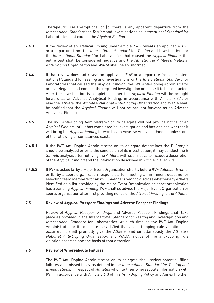Therapeutic Use Exemptions, or (b) there is any apparent departure from the International Standard for Testing and Investigations or International Standard for Laboratories that caused the Atypical Finding.

- **7.4.3** If the review of an Atypical Finding under Article 7.4.2 reveals an applicable TUE or a departure from the International Standard for Testing and Investigations or the International Standard for Laboratories that caused the Atypical Finding, the entire test shall be considered negative and the Athlete, the Athlete's National Anti-Doping Organization and WADA shall be so informed.
- **7.4.4** If that review does not reveal an applicable TUE or a departure from the International Standard for Testing and Investigations or the International Standard for Laboratories that caused the Atypical Finding, the IWF Anti-Doping Administrator or its delegate shall conduct the required investigation or cause it to be conducted. After the investigation is completed, either the Atypical Finding will be brought forward as an Adverse Analytical Finding, in accordance with Article 7.3.1, or else the Athlete, the Athlete's National Anti-Doping Organization and WADA shall be notified that the Atypical Finding will not be brought forward as an Adverse Analytical Finding.
- **7.4.5** The IWF Anti-Doping Administrator or its delegate will not provide notice of an Atypical Finding until it has completed its investigation and has decided whether it will bring the Atypical Finding forward as an Adverse Analytical Finding unless one of the following circumstances exists:
- **7.4.5.1** If the IWF Anti-Doping Administrator or its delegate determines the B Sample should be analyzed prior to the conclusion of its investigation, it may conduct the B Sample analysis after notifying the Athlete, with such notice to include a description of the Atypical Finding and the information described in Article 7.3.1(d)-(f).
- **7.4.5.2** If IWF is asked (a) by a Major Event Organization shortly before *IWF Calendar Events*, or (b) by a sport organization responsible for meeting an imminent deadline for selecting team members for an IWF Calendar Event, to disclose whether any Athlete identified on a list provided by the Major Event Organization or sport organization has a pending Atypical Finding, IWF shall so advise the Major Event Organization or sports organization after first providing notice of the Atypical Finding to the Athlete.

#### **7.5 Review of Atypical Passport Findings and Adverse Passport Findings**

Review of Atypical Passport Findings and Adverse Passport Findings shall take place as provided in the International Standard for Testing and Investigations and International Standard for Laboratories. At such time as the IWF Anti-Doping Administrator or its delegate is satisfied that an anti-doping rule violation has occurred, it shall promptly give the Athlete (and simultaneously the Athlete's National Anti-Doping Organization and WADA) notice of the anti-doping rule violation asserted and the basis of that assertion.

#### **7.6 Review of Whereabouts Failures**

The IWF Anti-Doping Administrator or its delegate shall review potential filing failures and missed tests, as defined in the International Standard for Testing and Investigations, in respect of Athletes who file their whereabouts information with IWF, in accordance with Article 5.6.3 of this Anti-Doping Policy and Annex I to the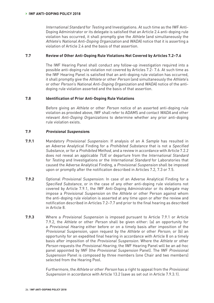International Standard for Testing and Investigations. At such time as the IWF Anti-Doping Administrator or its delegate is satisfied that an Article 2.4 anti-doping rule violation has occurred, it shall promptly give the Athlete (and simultaneously the Athlete's National Anti-Doping Organization and WADA) notice that it is asserting a violation of Article 2.4 and the basis of that assertion.

#### **7.7 Review of Other Anti-Doping Rule Violations Not Covered by Articles 7.2–7.6**

The IWF Hearing Panel shall conduct any follow-up investigation required into a possible anti-doping rule violation not covered by Articles 7.2- 7.6. At such time as the IWF Hearing Panel is satisfied that an anti-doping rule violation has occurred, it shall promptly give the Athlete or other Person (and simultaneously the Athlete's or other Person's National Anti-Doping Organization and WADA) notice of the antidoping rule violation asserted and the basis of that assertion.

#### **7.8 Identification of Prior Anti-Doping Rule Violations**

Before giving an Athlete or other Person notice of an asserted anti-doping rule violation as provided above, IWF shall refer to ADAMS and contact WADA and other relevant Anti-Doping Organizations to determine whether any prior anti-doping rule violation exists.

#### **7.9 Provisional Suspensions**

- **7.9.1** Mandatory Provisional Suspension: If analysis of an A Sample has resulted in an Adverse Analytical Finding for a Prohibited Substance that is not a Specified Substance, or for a Prohibited Method, and a review in accordance with Article 7.2.2 does not reveal an applicable TUE or departure from the International Standard for Testing and Investigations or the International Standard for Laboratories that caused the Adverse Analytical Finding, a Provisional Suspension shall be imposed upon or promptly after the notification described in Articles 7.2, 7.3 or 7.5.
- **7.9.2** Optional Provisional Suspension: In case of an Adverse Analytical Finding for a Specified Substance, or in the case of any other anti-doping rule violations not covered by Article 7.9.1, the IWF Anti-Doping Administrator or its delegate may impose a Provisional Suspension on the Athlete or other Person against whom the anti-doping rule violation is asserted at any time upon or after the review and notification described in Articles 7.2–7.7 and prior to the final hearing as described in Article 8.
- **7.9.3** Where a Provisional Suspension is imposed pursuant to Article 7.9.1 or Article 7.9.2, the Athlete or other Person shall be given either: (a) an opportunity for a Provisional Hearing either before or on a timely basis after imposition of the Provisional Suspension, upon request by the Athlete or other Person; or (b) an opportunity for an expedited final hearing in accordance with Article 8 on a timely basis after imposition of the Provisional Suspension. Where the Athlete or other Person requests the Provisional Hearing, the IWF Hearing Panel will be an ad-hoc panel appointed by IWF (the Provisional Suspension Panel). The IWF Provisional Suspension Panel is composed by three members (one Chair and two members) selected from the Hearing Pool.

Furthermore, the Athlete or other Person has a right to appeal from the Provisional Suspension in accordance with Article 13.2 (save as set out in Article 7.9.3.1).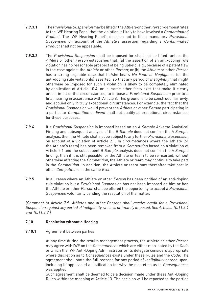- **7.9.3.1** The Provisional Suspension may be lifted if the Athlete or other Person demonstrates to the IWF Hearing Panel that the violation is likely to have involved a Contaminated Product. The IWF Hearing Panel's decision not to lift a mandatory Provisional Suspension on account of the Athlete's assertion regarding a Contaminated Product shall not be appealable.
- **7.9.3.2** The Provisional Suspension shall be imposed (or shall not be lifted) unless the Athlete or other Person establishes that: (a) the assertion of an anti-doping rule violation has no reasonable prospect of being upheld, e.g., because of a patent flaw in the case against the Athlete or other Person; or (b) the Athlete or other Person has a strong arguable case that he/she bears No Fault or Negligence for the anti-doping rule violation(s) asserted, so that any period of *Ineligibility* that might otherwise be imposed for such a violation is likely to be completely eliminated by application of Article 10.4; or (c) some other facts exist that make it clearly unfair, in all of the circumstances, to impose a Provisional Suspension prior to a final hearing in accordance with Article 8. This ground is to be construed narrowly, and applied only in truly exceptional circumstances. For example, the fact that the Provisional Suspension would prevent the Athlete or other Person participating in a particular Competition or Event shall not qualify as exceptional circumstances for these purposes.
- **7.9.4** If a Provisional Suspension is imposed based on an A Sample Adverse Analytical Finding and subsequent analysis of the B Sample does not confirm the A Sample analysis, then the Athlete shall not be subject to any further Provisional Suspension on account of a violation of Article 2.1. In circumstances where the Athlete (or the Athlete's team) has been removed from a Competition based on a violation of Article 2.1 and the subsequent B Sample analysis does not confirm the A Sample finding, then if it is still possible for the Athlete or team to be reinserted, without otherwise affecting the Competition, the Athlete or team may continue to take part in the Competition. In addition, the Athlete or team may thereafter take part in other Competitions in the same Event.
- **7.9.5** In all cases where an Athlete or other Person has been notified of an anti-doping rule violation but a Provisional Suspension has not been imposed on him or her, the Athlete or other Person shall be offered the opportunity to accept a Provisional Suspension voluntarily pending the resolution of the matter.

[Comment to Article 7.9: Athletes and other Persons shall receive credit for a Provisional Suspension against any period of Ineligibility which is ultimately imposed. See Articles 10.11.3.1 and 10.11.3.2.]

#### **7.10 Resolution without a Hearing**

#### **7.10.1** Agreement between parties

At any time during the results management process, the Athlete or other Person may agree with IWF on the Consequences which are either man-dated by the Code or which the IWF Anti-Doping Administrator or its delegate considers appropriate where discretion as to *Consequences* exists under these Rules and the *Code*. The agreement shall state the full reasons for any period of Ineligibility agreed upon, including (if applicable) a justification for why the discretion as to Consequences was applied.

Such agreement shall be deemed to be a decision made under these Anti-Doping Rules within the meaning of Article 13. The decision will be reported to the parties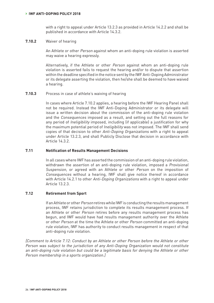with a right to appeal under Article 13.2.3 as provided in Article 14.2.2 and shall be published in accordance with Article 14.3.2.

#### **7.10.2** Waiver of hearing

An Athlete or other Person against whom an anti-doping rule violation is asserted may waive a hearing expressly.

Alternatively, if the Athlete or other Person against whom an anti-doping rule violation is asserted fails to request the hearing and/or to dispute that assertion within the deadline specified in the notice sent by the IWF Anti-Doping Administrator or its delegate asserting the violation, then he/she shall be deemed to have waived a hearing.

#### **7.10.3** Process in case of athlete's waiving of hearing

In cases where Article 7.10.2 applies, a hearing before the IWF Hearing Panel shall not be required. Instead the IWF Anti-Doping Administrator or its delegate will issue a written decision about the commission of the anti-doping rule violation and the Consequences imposed as a result, and setting out the full reasons for any period of Ineligibility imposed, including (if applicable) a justification for why the maximum potential period of Ineligibility was not imposed. The IWF shall send copies of that decision to other Anti-Doping Organizations with a right to appeal under Article 13.2.3, and shall Publicly Disclose that decision in accordance with Article 14.3.2.

#### **7.11 Notification of Results Management Decisions**

In all cases where IWF has asserted the commission of an anti-doping rule violation, withdrawn the assertion of an anti-doping rule violation, imposed a Provisional Suspension, or agreed with an Athlete or other Person on the imposition of Consequences without a hearing, IWF shall give notice thereof in accordance with Article 14.2.1 to other Anti-Doping Organizations with a right to appeal under Article 13.2.3.

#### **7.12 Retirement from Sport**

If an Athlete or other Person retires while IWF is conducting the results management process, IWF retains jurisdiction to complete its results management process. If an Athlete or other Person retires before any results management process has begun, and IWF would have had results management authority over the Athlete or other Person at the time the Athlete or other Person committed an anti-doping rule violation, IWF has authority to conduct results management in respect of that anti-doping rule violation.

[Comment to Article 7.12: Conduct by an Athlete or other Person before the Athlete or other Person was subject to the jurisdiction of any Anti-Doping Organization would not constitute an anti-doping rule violation but could be a legitimate basis for denying the Athlete or other Person membership in a sports organization.]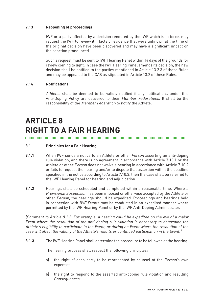#### **7.13 Reopening of proceedings**

IWF or a party affected by a decision rendered by the IWF which is in force, may request the IWF to review it if facts or evidence that were unknown at the time of the original decision have been discovered and may have a significant impact on the sanction pronounced.

Such a request must be sent to IWF Hearing Panel within 14 days of the grounds for review coming to light. In case the IWF Hearing Panel amends its decision, the new decision shall be notified to the parties mentioned in Article 13.2.3 of these Rules and may be appealed to the CAS as stipulated in Article 13.2 of these Rules.

#### **7.14 Notifications**

Athletes shall be deemed to be validly notified if any notifications under this Anti-Doping Policy are delivered to their Member Federations. It shall be the responsibility of the Member Federation to notify the Athlete.

## **ARTICLE 8 RIGHT TO A FAIR HEARING**

#### 

#### **8.1 Principles for a Fair Hearing**

- **8.1.1** When IWF sends a notice to an Athlete or other Person asserting an anti-doping rule violation, and there is no agreement in accordance with Article 7.10.1 or the Athlete or other Person does not waive a hearing in accordance with Article 7.10.2 or fails to request the hearing and/or to dispute that assertion within the deadline specified in the notice according to Article 7.10.3, then the case shall be referred to the IWF Hearing Panel for hearing and adjudication.
- **8.1.2** Hearings shall be scheduled and completed within a reasonable time. Where a Provisional Suspension has been imposed or otherwise accepted by the Athlete or other Person, the hearings should be expedited. Proceedings and hearings held in connection with IWF Events may be conducted in an expedited manner where permitted by the IWF Hearing Panel or by the IWF Anti-Doping Administrator.

[Comment to Article 8.1.2: For example, a hearing could be expedited on the eve of a major Event where the resolution of the anti-doping rule violation is necessary to determine the Athlete's eligibility to participate in the Event, or during an Event where the resolution of the case will affect the validity of the Athlete's results or continued participation in the Event.]

**8.1.3** The IWF Hearing Panel shall determine the procedure to be followed at the hearing.

The hearing process shall respect the following principles:

- a) the right of each party to be represented by counsel at the Person's own expenses;
- b) the right to respond to the asserted anti-doping rule violation and resulting Consequences;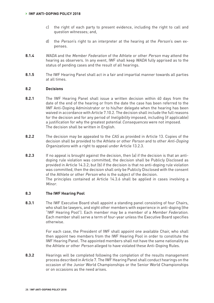- c) the right of each party to present evidence, including the right to call and question witnesses; and,
- d) the Person's right to an interpreter at the hearing at the Person's own expenses.
- **8.1.4** WADA and the Member Federation of the Athlete or other Person may attend the hearing as observers. In any event, IWF shall keep WADA fully apprised as to the status of pending cases and the result of all hearings.
- **8.1.5** The IWF Hearing Panel shall act in a fair and impartial manner towards all parties at all times.

#### **8.2 Decisions**

- **8.2.1** The IWF Hearing Panel shall issue a written decision within 40 days from the date of the end of the hearing or from the date the case has been referred to the IWF Anti-Doping Administrator or to his/her delegate when the hearing has been waived in accordance with Article 7.10.2. The decision shall include the full reasons for the decision and for any period of *Ineligibility* imposed, including (if applicable) a justification for why the greatest potential Consequences were not imposed. The decision shall be written in English.
- **8.2.2** The decision may be appealed to the CAS as provided in Article 13. Copies of the decision shall be provided to the Athlete or other Person and to other Anti-Doping Organizations with a right to appeal under Article 13.2.3.
- **8.2.3** If no appeal is brought against the decision, then (a) if the decision is that an antidoping rule violation was committed, the decision shall be Publicly Disclosed as provided in Article 14.3.2; but (b) if the decision is that no anti-doping rule violation was committed, then the decision shall only be Publicly Disclosed with the consent of the Athlete or other Person who is the subject of the decision. The principles contained at Article 14.3.6 shall be applied in cases involving a Minor.

#### **8.3 The IWF Hearing Pool**

**8.3.1** The IWF Executive Board shall appoint a standing panel consisting of four Chairs, who shall be lawyers, and eight other members with experience in anti-doping (the "IWF Hearing Pool"). Each member may be a member of a Member Federation. Each member shall serve a term of four-year unless the Executive Board specifies otherwise.

> For each case, the President of IWF shall appoint one available Chair, who shall then appoint two members from the IWF Hearing Pool in order to constitute the IWF Hearing Panel. The appointed members shall not have the same nationality as the Athlete or other Person alleged to have violated these Anti-Doping Rules.

**8.3.2** Hearings will be completed following the completion of the results management process described in Article 7. The IWF Hearing Panel shall conduct hearings on the occasion of the Junior World Championships or the Senior World Championships or on occasions as the need arises.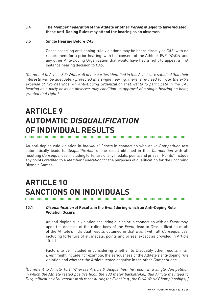#### **8.4 The Member Federation of the Athlete or other Person alleged to have violated these Anti-Doping Rules may attend the hearing as an observer.**

#### **8.5 Single Hearing Before CAS**

Cases asserting anti-doping rule violations may be heard directly at CAS, with no requirement for a prior hearing, with the consent of the Athlete, IWF, WADA, and any other Anti-Doping Organization that would have had a right to appeal a first instance hearing decision to CAS.

[Comment to Article 8.3: Where all of the parties identified in this Article are satisfied that their interests will be adequately protected in a single hearing, there is no need to incur the extra expense of two hearings. An Anti-Doping Organization that wants to participate in the CAS hearing as a party or as an observer may condition its approval of a single hearing on being granted that right.]

## **ARTICLE 9 AUTOMATIC DISQUALIFICATION OF INDIVIDUAL RESULTS**

An anti-doping rule violation in Individual Sports in connection with an In-Competition test automatically leads to *Disqualification* of the result obtained in that *Competition* with all resulting Consequences, including forfeiture of any medals, points and prizes. "Points" include any points credited to a Member Federation for the purposes of qualification for the upcoming Olympic Games.

## **ARTICLE 10 SANCTIONS ON INDIVIDUALS**

#### **10.1 Disqualification of Results in the Event during which an Anti-Doping Rule Violation Occurs**

An anti-doping rule violation occurring during or in connection with an *Event* may, upon the decision of the ruling body of the Event, lead to Disqualification of all of the Athlete's individual results obtained in that Event with all Consequences, including forfeiture of all medals, points and prizes, except as provided in Article 10.1.1.

Factors to be included in considering whether to Disqualify other results in an Event might include, for example, the seriousness of the Athlete's anti-doping rule violation and whether the Athlete tested negative in the other Competitions.

[Comment to Article 10.1: Whereas Article 9 Disqualifies the result in a single Competition in which the Athlete tested positive (e.g., the 100 meter backstroke), this Article may lead to Disqualification of all results in all races during the Event (e.g., the FINA World Championships).]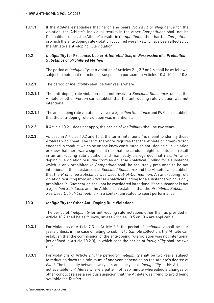#### **› IWF ANTI-DOPING POLICY 2018**

10.1.1 If the Athlete establishes that he or she bears No Fault or Negligence for the violation, the Athlete's individual results in the other Competitions shall not be Disqualified, unless the Athlete's results in Competitions other than the Competition in which the anti-doping rule violation occurred were likely to have been affected by the Athlete's anti-doping rule violation.

#### **10.2 Ineligibility for Presence, Use or Attempted Use, or Possession of a Prohibited Substance or Prohibited Method**

The period of Ineligibility for a violation of Articles 2.1, 2.2 or 2.6 shall be as follows, subject to potential reduction or suspension pursuant to Articles 10.4, 10.5 or 10.6:

- **10.2.1** The period of Ineligibility shall be four years where:
- **10.2.1.1** The anti-doping rule violation does not involve a Specified Substance, unless the Athlete or other Person can establish that the anti-doping rule violation was not intentional.
- **10.2.1.2** The anti-doping rule violation involves a Specified Substance and IWF can establish that the anti-doping rule violation was intentional.
- **10.2.2** If Article 10.2.1 does not apply, the period of Ineligibility shall be two years.
- **10.2.3** As used in Articles 10.2 and 10.3, the term "intentional" is meant to identify those Athletes who cheat. The term therefore requires that the Athlete or other Person engaged in conduct which he or she knew constituted an anti-doping rule violation or knew that there was a significant risk that the conduct might constitute or result in an anti-doping rule violation and manifestly disregarded that risk. An antidoping rule violation resulting from an Adverse Analytical Finding for a substance which is only prohibited In-Competition shall be rebuttably presumed to be not intentional if the substance is a Specified Substance and the Athlete can establish that the Prohibited Substance was Used Out-of-Competition. An anti-doping rule violation resulting from an Adverse Analytical Finding for a substance which is only prohibited In-Competition shall not be considered intentional if the substance is not a Specified Substance and the Athlete can establish that the Prohibited Substance was Used Out-of-Competition in a context unrelated to sport performance.

#### **10.3 Ineligibility for Other Anti-Doping Rule Violations**

The period of Ineligibility for anti-doping rule violations other than as provided in Article 10.2 shall be as follows, unless Articles 10.5 or 10.6 are applicable:

- **10.3.1** For violations of Article 2.3 or Article 2.5, the period of Ineligibility shall be four years unless, in the case of failing to submit to Sample collection, the Athlete can establish that the commission of the anti-doping rule violation was not intentional (as defined in Article 10.2.3), in which case the period of Ineligibility shall be two years.
- **10.3.3** For violations of Article 2.4, the period of Ineligibility shall be two years, subject to reduction down to a minimum of one year, depending on the Athlete's degree of Fault. The flexibility between two years and one year of *Ineligibility* in this Article is not available to Athletes where a pattern of last-minute whereabouts changes or other conduct raises a serious suspicion that the Athlete was trying to avoid being available for Testing.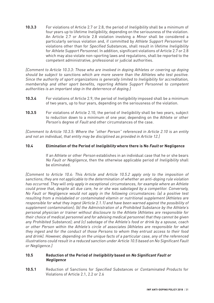**10.3.3** For violations of Article 2.7 or 2.8, the period of Ineligibility shall be a minimum of four years up to lifetime Ineligibility, depending on the seriousness of the violation. An Article 2.7 or Article 2.8 violation involving a Minor shall be considered a particularly serious violation and, if committed by Athlete Support Personnel for violations other than for Specified Substances, shall result in lifetime Ineligibility for Athlete Support Personnel. In addition, significant violations of Article 2.7 or 2.8 which may also violate non-sporting laws and regulations, shall be reported to the competent administrative, professional or judicial authorities.

[Comment to Article 10.3.3: Those who are involved in doping Athletes or covering up doping should be subject to sanctions which are more severe than the Athletes who test positive. Since the authority of sport organizations is generally limited to Ineligibility for accreditation, membership and other sport benefits, reporting Athlete Support Personnel to competent authorities is an important step in the deterrence of doping.]

- **10.3.4** For violations of Article 2.9, the period of Ineligibility imposed shall be a minimum of two years, up to four years, depending on the seriousness of the violation.
- **10.3.5** For violations of Article 2.10, the period of Ineligibility shall be two years, subject to reduction down to a minimum of one year, depending on the Athlete or other Person's degree of Fault and other circumstances of the case.

[Comment to Article 10.3.5: Where the "other Person" referenced in Article 2.10 is an entity and not an individual, that entity may be disciplined as provided in Article 12.]

#### **10.4 Elimination of the Period of Ineligibility where there is No Fault or Negligence**

If an Athlete or other Person establishes in an individual case that he or she bears No Fault or Negligence, then the otherwise applicable period of Ineligibility shall be eliminated.

[Comment to Article 10.4: This Article and Article 10.5.2 apply only to the imposition of sanctions; they are not applicable to the determination of whether an anti-doping rule violation has occurred. They will only apply in exceptional circumstances, for example where an Athlete could prove that, despite all due care, he or she was sabotaged by a competitor. Conversely, No Fault or Negligence would not apply in the following circumstances: (a) a positive test resulting from a mislabeled or contaminated vitamin or nutritional supplement (Athletes are responsible for what they ingest (Article 2.1.1) and have been warned against the possibility of supplement contamination); (b) the Administration of a Prohibited Substance by the Athlete's personal physician or trainer without disclosure to the Athlete (Athletes are responsible for their choice of medical personnel and for advising medical personnel that they cannot be given any Prohibited Substance); and (c) sabotage of the Athlete's food or drink by a spouse, coach or other Person within the Athlete's circle of associates (Athletes are responsible for what they ingest and for the conduct of those Persons to whom they entrust access to their food and drink). However, depending on the unique facts of a particular case, any of the referenced illustrations could result in a reduced sanction under Article 10.5 based on No Significant Fault or Negligence.]

#### **10.5 Reduction of the Period of Ineligibility based on No Significant Fault or Negligence**

**10.5.1** Reduction of Sanctions for Specified Substances or Contaminated Products for Violations of Article 2.1, 2.2 or 2.6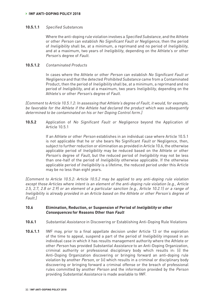#### **10.5.1.1** Specified Substances

Where the anti-doping rule violation involves a Specified Substance, and the Athlete or other Person can establish No Significant Fault or Negligence, then the period of Ineligibility shall be, at a minimum, a reprimand and no period of Ineligibility, and at a maximum, two years of Ineligibility, depending on the Athlete's or other Person's degree of Fault.

#### **10.5.1.2** Contaminated Products

In cases where the Athlete or other Person can establish No Significant Fault or Negligence and that the detected Prohibited Substance came from a Contaminated Product, then the period of Ineligibility shall be, at a minimum, a reprimand and no period of Ineligibility, and at a maximum, two years Ineligibility, depending on the Athlete's or other Person's degree of Fault.

[Comment to Article 10.5.1.2: In assessing that Athlete's degree of Fault, it would, for example, be favorable for the Athlete if the Athlete had declared the product which was subsequently determined to be contaminated on his or her Doping Control form.]

**10.5.2** Application of No Significant Fault or Negligence beyond the Application of Article 10.5.1

> If an Athlete or other Person establishes in an individual case where Article 10.5.1 is not applicable that he or she bears No Significant Fault or Negligence, then, subject to further reduction or elimination as provided in Article 10.6, the otherwise applicable period of Ineligibility may be reduced based on the Athlete or other Person's degree of Fault, but the reduced period of Ineligibility may not be less than one-half of the period of Ineligibility otherwise applicable. If the otherwise applicable period of Ineligibility is a lifetime, the reduced period under this Article may be no less than eight years.

[Comment to Article 10.5.2: Article 10.5.2 may be applied to any anti-doping rule violation except those Articles where intent is an element of the anti-doping rule violation (e.g., Article 2.5, 2.7, 2.8 or 2.9) or an element of a particular sanction (e.g., Article 10.2.1) or a range of Ineligibility is already provided in an Article based on the Athlete or other Person's degree of Fault.]

#### **10.6 Elimination, Reduction, or Suspension of Period of Ineligibility or other Consequences for Reasons Other than Fault**

- **10.6.1** Substantial Assistance in Discovering or Establishing Anti-Doping Rule Violations
- **10.6.1.1** IWF may, prior to a final appellate decision under Article 13 or the expiration of the time to appeal, suspend a part of the period of Ineligibility imposed in an individual case in which it has results management authority where the Athlete or other Person has provided Substantial Assistance to an Anti-Doping Organization, criminal authority or professional disciplinary body which results in: (i) the Anti-Doping Organization discovering or bringing forward an anti-doping rule violation by another Person, or (ii) which results in a criminal or disciplinary body discovering or bringing forward a criminal offense or the breach of professional rules committed by another Person and the information provided by the Person providing Substantial Assistance is made available to IWF.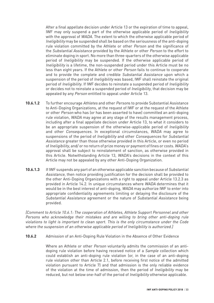After a final appellate decision under Article 13 or the expiration of time to appeal, IWF may only suspend a part of the otherwise applicable period of Ineligibility with the approval of WADA. The extent to which the otherwise applicable period of Ineligibility may be suspended shall be based on the seriousness of the anti-doping rule violation committed by the Athlete or other Person and the significance of the Substantial Assistance provided by the Athlete or other Person to the effort to eliminate doping in sport. No more than three-quarters of the otherwise applicable period of Ineligibility may be suspended. If the otherwise applicable period of Ineligibility is a lifetime, the non-suspended period under this Article must be no less than eight years. If the Athlete or other Person fails to continue to cooperate and to provide the complete and credible Substantial Assistance upon which a suspension of the period of Ineligibility was based, IWF shall reinstate the original period of Ineligibility. If IWF decides to reinstate a suspended period of Ineligibility or decides not to reinstate a suspended period of Ineligibility, that decision may be appealed by any Person entitled to appeal under Article 13.

- **10.6.1.2** To further encourage Athletes and other Persons to provide Substantial Assistance to Anti-Doping Organizations, at the request of IWF or at the request of the Athlete or other Person who has (or has been asserted to have) committed an anti-doping rule violation, WADA may agree at any stage of the results management process, including after a final appellate decision under Article 13, to what it considers to be an appropriate suspension of the otherwise-applicable period of *Ineligibility* and other Consequences. In exceptional circumstances, WADA may agree to suspensions of the period of Ineligibility and other Consequences for Substantial Assistance greater than those otherwise provided in this Article, or even no period of Ineligibility, and/ or no return of prize money or payment of fines or costs. WADA's approval shall be subject to reinstatement of sanction, as otherwise provided in this Article. Notwithstanding Article 13, WADA's decisions in the context of this Article may not be appealed by any other Anti-Doping Organization.
- **10.6.1.3** If IWF suspends any part of an otherwise applicable sanction because of Substantial Assistance, then notice providing justification for the decision shall be provided to the other Anti-Doping Organizations with a right to appeal under Article 13.2.3 as provided in Article 14.2. In unique circumstances where WADA determines that it would be in the best interest of anti-doping, WADA may authorize IWF to enter into appropriate confidentiality agreements limiting or delaying the disclosure of the Substantial Assistance agreement or the nature of Substantial Assistance being provided.

[Comment to Article 10.6.1: The cooperation of Athletes, Athlete Support Personnel and other Persons who acknowledge their mistakes and are willing to bring other anti-doping rule violations to light is important to clean sport. This is the only circumstance under the Code where the suspension of an otherwise applicable period of Ineligibility is authorized.

**10.6.2** Admission of an Anti-Doping Rule Violation in the Absence of Other Evidence

Where an Athlete or other *Person* voluntarily admits the commission of an antidoping rule violation before having received notice of a *Sample* collection which could establish an anti-doping rule violation (or, in the case of an anti-doping rule violation other than Article 2.1, before receiving first notice of the admitted violation pursuant to Article 7) and that admission is the only reliable evidence of the violation at the time of admission, then the period of Ineligibility may be reduced, but not below one-half of the period of Ineligibility otherwise applicable.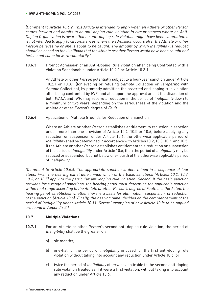#### **› IWF ANTI-DOPING POLICY 2018**

[Comment to Article 10.6.2: This Article is intended to apply when an Athlete or other Person comes forward and admits to an anti-doping rule violation in circumstances where no Anti-Doping Organization is aware that an anti-doping rule violation might have been committed. It is not intended to apply to circumstances where the admission occurs after the Athlete or other Person believes he or she is about to be caught. The amount by which Ineligibility is reduced should be based on the likelihood that the Athlete or other Person would have been caught had he/she not come forward voluntarily.]

**10.6.3** Prompt Admission of an Anti-Doping Rule Violation after being Confronted with a Violation Sanctionable under Article 10.2.1 or Article 10.3.1

> An Athlete or other Person potentially subject to a four-year sanction under Article 10.2.1 or 10.3.1 (for evading or refusing Sample Collection or Tampering with Sample Collection), by promptly admitting the asserted anti-doping rule violation after being confronted by IWF, and also upon the approval and at the discretion of both WADA and IWF, may receive a reduction in the period of Ineligibility down to a minimum of two years, depending on the seriousness of the violation and the Athlete or other Person's degree of Fault.

**10.6.4** Application of Multiple Grounds for Reduction of a Sanction

Where an Athlete or other *Person* establishes entitlement to reduction in sanction under more than one provision of Article 10.4, 10.5 or 10.6, before applying any reduction or suspension under Article 10.6, the otherwise applicable period of Ineligibility shall be determined in accordance with Articles 10.2, 10.3, 10.4, and 10.5. If the Athlete or other Person establishes entitlement to a reduction or suspension of the period of Ineligibility under Article 10.6, then the period of Ineligibility may be reduced or suspended, but not below one-fourth of the otherwise applicable period of Ineligibility.

[Comment to Article 10.6.4: The appropriate sanction is determined in a sequence of four steps. First, the hearing panel determines which of the basic sanctions (Articles 10.2, 10.3, 10.4, or 10.5) apply to the particular anti-doping rule violation. Second, if the basic sanction provides for a range of sanctions, the hearing panel must determine the applicable sanction within that range according to the Athlete or other Person's degree of Fault. In a third step, the hearing panel establishes whether there is a basis for elimination, suspension, or reduction of the sanction (Article 10.6). Finally, the hearing panel decides on the commencement of the period of Ineligibility under Article 10.11. Several examples of how Article 10 is to be applied are found in Appendix 2.]

#### **10.7 Multiple Violations**

- **10.7.1** For an Athlete or other Person's second anti-doping rule violation, the period of Ineligibility shall be the greater of:
	- a) six months;
	- b) one-half of the period of *Ineligibility* imposed for the first anti-doping rule violation without taking into account any reduction under Article 10.6; or
	- c) twice the period of Ineligibility otherwise applicable to the second anti-doping rule violation treated as if it were a first violation, without taking into account any reduction under Article 10.6.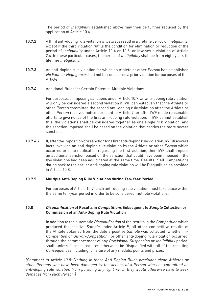The period of Ineligibility established above may then be further reduced by the application of Article 10.6.

- **10.7.2** A third anti-doping rule violation will always result in a lifetime period of Ineligibility, except if the third violation fulfils the condition for elimination or reduction of the period of Ineligibility under Article 10.4 or 10.5, or involves a violation of Article 2.4. In these particular cases, the period of *Ineligibility* shall be from eight years to lifetime Ineligibility.
- **10.7.3** An anti-doping rule violation for which an Athlete or other Person has established No Fault or Negligence shall not be considered a prior violation for purposes of this Article.
- **10.7.4** Additional Rules for Certain Potential Multiple Violations

For purposes of imposing sanctions under Article 10.7, an anti-doping rule violation will only be considered a second violation if IWF can establish that the Athlete or other Person committed the second anti-doping rule violation after the Athlete or other Person received notice pursuant to Article 7, or after IWF made reasonable efforts to give notice of the first anti-doping rule violation. If IWF cannot establish this, the violations shall be considered together as one single first violation, and the sanction imposed shall be based on the violation that carries the more severe sanction.

**10.7.4.2** If, after the imposition of a sanction for a first anti-doping rule violation, IWF discovers facts involving an anti-doping rule violation by the Athlete or other Person which occurred prior to notification regarding the first violation, then IWF shall impose an additional sanction based on the sanction that could have been imposed if the two violations had been adjudicated at the same time. Results in all Competitions dating back to the earlier anti-doping rule violation will be Disqualified as provided in Article 10.8.

# **10.7.5 Multiple Anti-Doping Rule Violations during Ten-Year Period**

For purposes of Article 10.7, each anti-doping rule violation must take place within the same ten-year period in order to be considered multiple violations.

#### **10.8 Disqualification of Results in Competitions Subsequent to Sample Collection or Commission of an Anti-Doping Rule Violation**

In addition to the automatic *Disqualification* of the results in the *Competition* which produced the positive Sample under Article 9, all other competitive results of the Athlete obtained from the date a positive Sample was collected (whether In-Competition or Out-of-Competition), or other anti-doping rule violation occurred, through the commencement of any Provisional Suspension or Ineligibility period, shall, unless fairness requires otherwise, be Disqualified with all of the resulting Consequences including forfeiture of any medals, points and prizes.

[Comment to Article 10.8: Nothing in these Anti-Doping Rules precludes clean Athletes or other Persons who have been damaged by the actions of a Person who has committed an anti-doping rule violation from pursuing any right which they would otherwise have to seek damages from such Person.]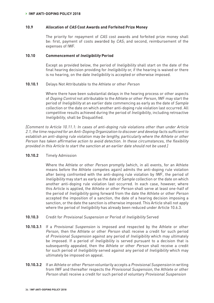#### **10.9 Allocation of CAS Cost Awards and Forfeited Prize Money**

The priority for repayment of CAS cost awards and forfeited prize money shall be: first, payment of costs awarded by CAS; and second, reimbursement of the expenses of IWF.

#### **10.10 Commencement of Ineligibility Period**

Except as provided below, the period of Ineligibility shall start on the date of the final hearing decision providing for Ineligibility or, if the hearing is waived or there is no hearing, on the date Ineligibility is accepted or otherwise imposed.

#### **10.10.1** Delays Not Attributable to the Athlete or other Person

Where there have been substantial delays in the hearing process or other aspects of Doping Control not attributable to the Athlete or other Person, IWF may start the period of Ineligibility at an earlier date commencing as early as the date of Sample collection or the date on which another anti-doping rule violation last occurred. All competitive results achieved during the period of Ineligibility, including retroactive Ineligibility, shall be Disqualified.

[Comment to Article 10.11.1: In cases of anti-doping rule violations other than under Article 2.1, the time required for an Anti-Doping Organization to discover and develop facts sufficient to establish an anti-doping rule violation may be lengthy, particularly where the Athlete or other Person has taken affirmative action to avoid detection. In these circumstances, the flexibility provided in this Article to start the sanction at an earlier date should not be used.]

#### **10.10.2** Timely Admission

Where the Athlete or other Person promptly (which, in all events, for an Athlete means before the Athlete competes again) admits the anti-doping rule violation after being confronted with the anti-doping rule violation by IWF, the period of Ineligibility may start as early as the date of Sample collection or the date on which another anti-doping rule violation last occurred. In each case, however, where this Article is applied, the Athlete or other Person shall serve at least one-half of the period of Ineligibility going forward from the date the Athlete or other Person accepted the imposition of a sanction, the date of a hearing decision imposing a sanction, or the date the sanction is otherwise imposed. This Article shall not apply where the period of *Ineligibility* has already been reduced under Article 10.6.3.

- **10.10.3** Credit for Provisional Suspension or Period of Ineligibility Served
- **10.10.3.1** If a Provisional Suspension is imposed and respected by the Athlete or other Person, then the Athlete or other Person shall receive a credit for such period of Provisional Suspension against any period of Ineligibility which may ultimately be imposed. If a period of *Ineligibility* is served pursuant to a decision that is subsequently appealed, then the Athlete or other Person shall receive a credit for such period of Ineligibility served against any period of Ineligibility which may ultimately be imposed on appeal.
- **10.10.3.2** If an Athlete or other Person voluntarily accepts a Provisional Suspension in writing from IWF and thereafter respects the Provisional Suspension, the Athlete or other Person shall receive a credit for such period of voluntary Provisional Suspension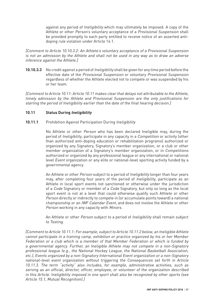against any period of Ineligibility which may ultimately be imposed. A copy of the Athlete or other Person's voluntary acceptance of a Provisional Suspension shall be provided promptly to each party entitled to receive notice of an asserted antidoping rule violation under Article 14.1.

[Comment to Article 10.10.3.2: An Athlete's voluntary acceptance of a Provisional Suspension is not an admission by the Athlete and shall not be used in any way as to draw an adverse inference against the Athlete.]

**10.10.3.3** No credit against a period of Ineligibility shall be given for any time period before the effective date of the Provisional Suspension or voluntary Provisional Suspension regardless of whether the Athlete elected not to compete or was suspended by his or her team.

[Comment to Article 10.11: Article 10.11 makes clear that delays not attributable to the Athlete, timely admission by the Athlete and Provisional Suspension are the only justifications for starting the period of Ineligibility earlier than the date of the final hearing decision.]

# **10.11 Status During Ineligibility**

10.11.1 Prohibition Against Participation During *Ineligibility* 

No Athlete or other Person who has been declared Ineligible may, during the period of Ineligibility, participate in any capacity in a Competition or activity (other than authorized anti-doping education or rehabilitation programs) authorized or organized by any Signatory, Signatory's member organization, or a club or other member organization of a Signatory's member organization, or in Competitions authorized or organized by any professional league or any international or national level Event organization or any elite or national-level sporting activity funded by a governmental agency.

An Athlete or other *Person* subject to a period of *Ineligibility* longer than four years may, after completing four years of the period of Ineligibility, participate as an Athlete in local sport events not sanctioned or otherwise under the jurisdiction of a Code Signatory or member of a Code Signatory, but only so long as the local sport event is not at a level that could otherwise qualify such Athlete or other Person directly or indirectly to compete in (or accumulate points toward) a national championship or an IWF Calendar Event, and does not involve the Athlete or other Person working in any capacity with Minors.

An Athlete or other Person subject to a period of Ineligibility shall remain subject to Testing.

[Comment to Article 10.11.1: For example, subject to Article 10.11.2 below, an Ineligible Athlete cannot participate in a training camp, exhibition or practice organized by his or her Member Federation or a club which is a member of that Member Federation or which is funded by a governmental agency. Further, an Ineligible Athlete may not compete in a non-Signatory professional league (e.g., the National Hockey League, the National Basketball Association, etc.), Events organized by a non-Signatory International Event organization or a non-Signatory national-level event organization without triggering the Consequences set forth in Article 10.11.3. The term "activity" also includes, for example, administrative activities, such as serving as an official, director, officer, employee, or volunteer of the organization described in this Article. Ineligibility imposed in one sport shall also be recognized by other sports (see Article 15.1, Mutual Recognition).]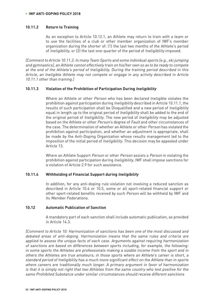### **10.11.2 Return to Training**

As an exception to Article 10.12.1, an Athlete may return to train with a team or to use the facilities of a club or other member organization of IWF's member organization during the shorter of: (1) the last two months of the Athlete's period of Ineligibility, or (2) the last one-quarter of the period of Ineligibility imposed.

[Comment to Article 10.11.2: In many Team Sports and some individual sports (e.g., ski jumping and gymnastics), an Athlete cannot effectively train on his/her own so as to be ready to compete at the end of the Athlete's period of Ineligibility. During the training period described in this Article, an Ineligible Athlete may not compete or engage in any activity described in Article 10.11.1 other than training.]

#### **10.11.3 Violation of the Prohibition of Participation During Ineligibility**

Where an Athlete or other Person who has been declared Ineligible violates the prohibition against participation during Ineligibility described in Article 10.11.1, the results of such participation shall be Disqualified and a new period of Ineligibility equal in length up to the original period of Ineligibility shall be added to the end of the original period of Ineligibility. The new period of Ineligibility may be adjusted based on the Athlete or other *Person's* degree of *Fault* and other circumstances of the case. The determination of whether an Athlete or other Person has violated the prohibition against participation, and whether an adjustment is appropriate, shall be made by the Anti-Doping Organization whose results management led to the imposition of the initial period of Ineligibility. This decision may be appealed under Article 13.

Where an Athlete Support Person or other Person assists a Person in violating the prohibition against participation during Ineligibility, IWF shall impose sanctions for a violation of Article 2.9 for such assistance.

### **10.11.4 Withholding of Financial Support during Ineligibility**

In addition, for any anti-doping rule violation not involving a reduced sanction as described in Article 10.4 or 10.5, some or all sport-related financial support or other sport-related benefits received by such Person will be withheld by IWF and its Member Federations.

#### **10.12 Automatic Publication of Sanction**

A mandatory part of each sanction shall include automatic publication, as provided in Article 14.3.

[Comment to Article 10: Harmonization of sanctions has been one of the most discussed and debated areas of anti-doping. Harmonization means that the same rules and criteria are applied to assess the unique facts of each case. Arguments against requiring harmonization of sanctions are based on differences between sports including, for example, the following: in some sports the Athletes are professionals making a sizable income from the sport and in others the Athletes are true amateurs; in those sports where an Athlete's career is short, a standard period of Ineligibility has a much more significant effect on the Athlete than in sports where careers are traditionally much longer. A primary argument in favor of harmonization is that it is simply not right that two Athletes from the same country who test positive for the same Prohibited Substance under similar circumstances should receive different sanctions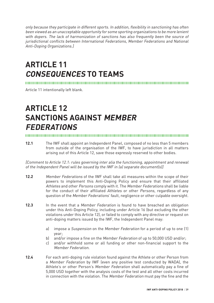only because they participate in different sports. In addition, flexibility in sanctioning has often been viewed as an unacceptable opportunity for some sporting organizations to be more lenient with dopers. The lack of harmonization of sanctions has also frequently been the source of jurisdictional conflicts between International Federations, Member Federations and National Anti-Doping Organizations.]

# **ARTICLE 11 CONSEQUENCES TO TEAMS**

Article 11 intentionally left blank.

# **ARTICLE 12 SANCTIONS AGAINST MEMBER FEDERATIONS**

**12.1** The IWF shall appoint an Independent Panel, composed of no less than 5 members from outside of the organisation of the IWF, to have jurisdiction in all matters arising out of this Article 12, save those expressly reserved to other bodies.

[Comment to Article 12.1: rules governing inter alia the functioning, appointment and renewal of the Independent Panel will be issued by the IWF in (a) separate document(s)]

- **12.2** Member Federations of the IWF shall take all measures within the scope of their powers to implement this Anti-Doping Policy and ensure that their affiliated Athletes and other Persons comply with it. The Member Federations shall be liable for the conduct of their affiliated Athletes or other Persons, regardless of any question of the Member Federations' fault, negligence or other culpable oversight.
- **12.3** In the event that a Member Federation is found to have breached an obligation under this Anti-Doping Policy, including under Article 16 (but excluding the other violations under this Article 12), or failed to comply with any directive or request on anti-doping matters issued by the IWF, the Independent Panel may:
	- a) impose a Suspension on the Member Federation for a period of up to one (1) year;
	- b) and/or impose a fine on the Member Federation of up to 50,000 USD and/or:
	- c) and/or withhold some or all funding or other non-financial support to the Member Federation.
- **12.4** For each anti-doping rule violation found against the Athlete or other Person from a Member Federation by IWF (even any positive test conducted by WADA), the Athlete's or other Person's Member Federation shall automatically pay a fine of 5,000 USD together with the analysis costs of the test and all other costs incurred in connection with the violation. The Member Federation must pay the fine and the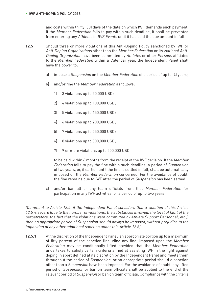and costs within thirty (30) days of the date on which IWF demands such payment. If the Member Federation fails to pay within such deadline, it shall be prevented from entering any Athletes in IWF Events until it has paid the due amount in full.

- **12.5** Should three or more violations of this Anti-Doping Policy sanctioned by IWF or Anti-Doping Organizations other than the Member Federation or its National Anti-Doping Organization have been committed by Athletes or other Persons affiliated to the Member Federation within a Calendar year, the Independent Panel shall have the power to:
	- a) impose a Suspension on the Member Federation of a period of up to (4) years;
	- b) and/or fine the Member Federation as follows:
		- 1) 3 violations up to 50,000 USD;
		- 2) 4 violations up to 100,000 USD;
		- 3) 5 violations up to 150,000 USD;
		- 4) 6 violations up to 200,000 USD;
		- 5) 7 violations up to 250,000 USD;
		- 6) 8 violations up to 300,000 USD;
		- 7) 9 or more violations up to 500,000 USD,

to be paid within 6 months from the receipt of the IWF decision. If the Member Federation fails to pay the fine within such deadline, a period of Suspension of two years, or, if earlier, until the fine is settled in full, shall be automatically imposed on the Member Federation concerned. For the avoidance of doubt, the fine remains due to IWF after the period of Suspension has been served.

c) and/or ban all or any team officials from that Member Federation for participation in any IWF activities for a period of up to two years

[Comment to Article 12.5: if the Independent Panel considers that a violation of this Article 12.5 is severe (due to the number of violations, the substances involved, the level of fault of the perpetrators, the fact that the violations were committed by Athlete Support Personnel, etc.), then an appropriate period of Suspension should always be imposed, without prejudice to the imposition of any other additional sanction under this Article 12.5]

**12.5.1** At the discretion of the Independent Panel, an appropriate portion up to a maximum of fifty percent of the sanction (including any fine) imposed upon the Member Federation may be conditionally lifted provided that the Member Federation undertakes to satisfy certain criteria aimed at assisting IWF in the fight against doping in sport defined at its discretion by the Independent Panel and meets them throughout the period of Suspension, or an appropriate period should a sanction other than a Suspension have been imposed. For the avoidance of doubt, any lifted period of Suspension or ban on team officials shall be applied to the end of the relevant period of Suspension or ban on team officials. Compliance with the criteria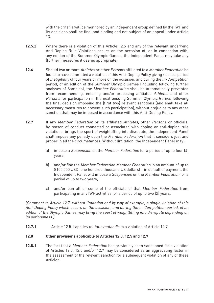with the criteria will be monitored by an independent group defined by the IWF and its decisions shall be final and binding and not subject of an appeal under Article 13.

- **12.5.2** Where there is a violation of this Article 12.5 and any of the relevant underlying Anti-Doping Rule Violations occurs on the occasion of, or in connection with, any edition of the Summer Olympic Games, the Independent Panel may take any (further) measures it deems appropriate.
- **12.6** Should two or more Athletes or other Persons affiliated to a Member Federation be found to have committed a violation of this Anti-Doping Policy giving rise to a period of Ineligibility of four years or more on the occasion, and during the In-Competition period, of an edition of the Summer Olympic Games (including following further analyses of Samples), the Member Federation shall be automatically prevented from recommending, entering and/or proposing affiliated Athletes and other Persons for participation in the next ensuing Summer Olympic Games following the final decision imposing the (first two) relevant sanctions (and shall take all necessary measures to prevent such participation), without prejudice to any other sanction that may be imposed in accordance with this Anti-Doping Policy.
- **12.7** If any Member Federation or its affiliated Athletes, other Persons or officials, by reason of conduct connected or associated with doping or anti-doping rule violations, brings the sport of weightlifting into disrepute, the Independent Panel shall impose any penalty upon the Member Federation that it considers just and proper in all the circumstances. Without limitation, the Independent Panel may:
	- a) impose a Suspension on the Member Federation for a period of up to four (4) years;
	- b) and/or fine the Member Federation Member Federation in an amount of up to \$100,000 USD (one hundred thousand US dollars) – in default of payment, the Independent Panel will impose a Suspension on the Member Federation for a period of up to two years;
	- c) and/or ban all or some of the officials of that Member Federation from participating in any IWF activities for a period of up to two (2) years.

[Comment to Article 12.7: without limitation and by way of example, a single violation of this Anti-Doping Policy which occurs on the occasion, and during the In-Competition period, of an edition of the Olympic Games may bring the sport of weightlifting into disrepute depending on its seriousness.]

**12.7.1** Article 12.5.1 applies mutatis mutandis to a violation of Article 12.7.

# **12.8 Other provisions applicable to Articles 12.3, 12.5 and 12.7**

**12.8.1** The fact that a Member Federation has previously been sanctioned for a violation of Articles 12.3, 12.5 and/or 12.7 may be considered as an aggravating factor in the assessment of the relevant sanction for a subsequent violation of any of these Articles.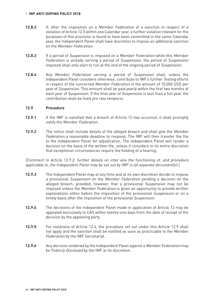#### **› IWF ANTI-DOPING POLICY 2018**

- **12.8.2** If, after the imposition on a Member Federation of a sanction in respect of a violation of Article 12.5 within one Calendar year, a further violation relevant for the purposes of this provision is found to have been committed in the same Calendar year, the Independent Panel shall have discretion to impose an additional sanction on the Member Federation.
- **12.8.3** If a period of Suspension is imposed on a Member Federation while this Member Federation is already serving a period of Suspension, the period of Suspension imposed shall only start to run at the end of the ongoing period of Suspension.
- **12.8.4** Any Member Federation serving a period of Suspension shall, unless the Independent Panel considers otherwise, contribute to IWF's further Testing efforts in respect of the concerned Member Federation in the amount of 10,000 USD per year of Suspension. This amount shall be paid yearly within the first two months of each year of Suspension. If the final year of Suspension is less than a full year, the contribution shall be fixed pro rata temporis.

### **12.9 Procedure**

- **12.9.1** If the IWF is satisfied that a breach of Article 12 has occurred, it shall promptly notify the Member Federation.
- **12.9.2** The notice shall include details of the alleged breach and shall give the Member Federation a reasonable deadline to respond. The IWF will then transfer the file to the Independent Panel for adjudication. The Independent Panel will render a decision on the basis of the written file, unless it considers in its entire discretion that exceptional circumstances require the holding of a hearing.

[Comment to Article 12.9.2: further details on inter alia the functioning of, and procedure applicable to, the Independent Panel may be set out by IWF in (a) separate document(s).]

- **12.9.3** The Independent Panel may at any time and at its own discretion decide to impose a provisional Suspension on the Member Federation pending a decision on the alleged breach, provided, however, that a provisional Suspension may not be imposed unless the Member Federation is given an opportunity to provide written explanations either before the imposition of the provisional Suspension or on a timely basis after the imposition of the provisional Suspension.
- **12.9.4** The decisions of the Independent Panel made in application of Article 12 may be appealed exclusively to CAS within twenty-one days from the date of receipt of the decision by the appealing party.
- **12.9.5** For violations of Article 12.4, the procedure set out under this Article 12.9 shall not apply and the sanction shall be notified as soon as practicable to the Member Federation by the IWF Secretariat.
- **12.9.6** Any decision rendered by the Independent Panel against a Member Federation may be Publicly Disclosed by the IWF at its discretion.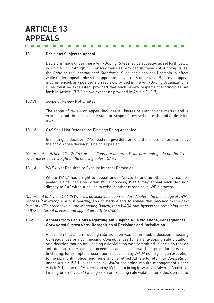# **ARTICLE 13 APPEALS**

# **13.1 Decisions Subject to Appeal**

Decisions made under these Anti-Doping Rules may be appealed as set forth below in Article 13.2 through 13.7 or as otherwise provided in these Anti-Doping Rules, the Code or the International Standards. Such decisions shall remain in effect while under appeal unless the appellate body orders otherwise. Before an appeal is commenced, any postdecision review provided in the Anti-Doping Organization's rules must be exhausted, provided that such review respects the principles set forth in Article 13.2.2 below (except as provided in Article 13.1.3).

13.1.1 Scope of Review Not Limited

The scope of review on appeal includes all issues relevant to the matter and is expressly not limited to the issues or scope of review before the initial decision maker.

**13.1.2** CAS Shall Not Defer to the Findings Being Appealed

In making its decision, CAS need not give deference to the discretion exercised by the body whose decision is being appealed.

[Comment to Article 13.1.2: CAS proceedings are de novo. Prior proceedings do not limit the evidence or carry weight in the hearing before CAS.]

**13.1.3** WADA Not Required to Exhaust Internal Remedies

Where WADA has a right to appeal under Article 13 and no other party has appealed a final decision within IWF's process, WADA may appeal such decision directly to CAS without having to exhaust other remedies in IWF's process.

[Comment to Article 13.1.3: Where a decision has been rendered before the final stage of IWF's process (for example, a first hearing) and no party elects to appeal that decision to the next level of IWF's process (e.g., the Managing Board), then WADA may bypass the remaining steps in IWF's internal process and appeal directly to CAS.]

# **13.2 Appeals from Decisions Regarding Anti-Doping Rule Violations, Consequences, Provisional Suspensions, Recognition of Decisions and Jurisdiction**

A decision that an anti-doping rule violation was committed, a decision imposing Consequences or not imposing Consequences for an anti-doping rule violation, or a decision that no anti-doping rule violation was committed; a decision that an anti-doping rule violation proceeding cannot go forward for procedural reasons (including, for example, prescription); a decision by WADA not to grant an exception to the six month notice requirement for a retired Athlete to return to Competition under Article 5.7.1; a decision by WADA assigning results management under Article 7.1 of the Code; a decision by IWF not to bring forward an Adverse Analytical Finding or an Atypical Finding as an anti-doping rule violation, or a decision not to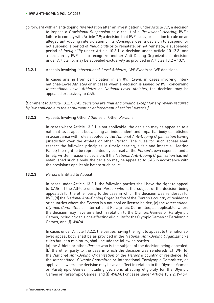- go forward with an anti-doping rule violation after an investigation under Article 7.7; a decision to impose a Provisional Suspension as a result of a Provisional Hearing; IWF's failure to comply with Article 7.9; a decision that IWF lacks jurisdiction to rule on an alleged anti-doping rule violation or its Consequences; a decision to suspend, or not suspend, a period of Ineligibility or to reinstate, or not reinstate, a suspended period of Ineligibility under Article 10.6.1; a decision under Article 10.12.3; and a decision by IWF not to recognize another Anti-Doping Organization's decision under Article 15, may be appealed exclusively as provided in Articles 13.2 – 13.7.
- **13.2.1** Appeals Involving International-Level Athletes, IWF Events or IWF decisions

In cases arising from participation in an *IWF Event*, in cases involving International-Level Athletes or in cases when a decision is issued by IWF concerning International-Level Athletes or National-Level Athletes, the decision may be appealed exclusively to CAS.

[Comment to Article 13.2.1: CAS decisions are final and binding except for any review required by law applicable to the annulment or enforcement of arbitral awards.]

#### **13.2.2** Appeals Involving Other Athletes or Other Persons

In cases where Article 13.2.1 is not applicable, the decision may be appealed to a national-level appeal body, being an independent and impartial body established in accordance with rules adopted by the National Anti-Doping Organization having jurisdiction over the Athlete or other Person. The rules for such appeal shall respect the following principles: a timely hearing; a fair and impartial Hearing Panel; the right to be represented by counsel at the Person's own expense; and a timely, written, reasoned decision. If the National Anti-Doping Organization has not established such a body, the decision may be appealed to CAS in accordance with the provisions applicable before such court.

### 13.2.3 Persons Entitled to Appeal

In cases under Article 13.2.1, the following parties shall have the right to appeal to CAS: (a) the Athlete or other Person who is the subject of the decision being appealed; (b) the other party to the case in which the decision was rendered; (c) IWF; (d) the National Anti-Doping Organization of the Person's country of residence or countries where the Person is a national or license holder; (e) the International Olympic Committee or International Paralympic Committee, as applicable, where the decision may have an effect in relation to the Olympic Games or Paralympic Games, including decisions affecting eligibility for the Olympic Games or Paralympic Games; and (f) WADA.

In cases under Article 13.2.2, the parties having the right to appeal to the nationallevel appeal body shall be as provided in the National Anti-Doping Organization's rules but, at a minimum, shall include the following parties:

(a) the Athlete or other Person who is the subject of the decision being appealed; (b) the other party to the case in which the decision was rendered; (c) IWF; (d) the National Anti-Doping Organization of the Person's country of residence; (e) the International Olympic Committee or International Paralympic Committee, as applicable, where the decision may have an effect in relation to the Olympic Games or Paralympic Games, including decisions affecting eligibility for the Olympic Games or Paralympic Games; and (f) WADA. For cases under Article 13.2.2, WADA,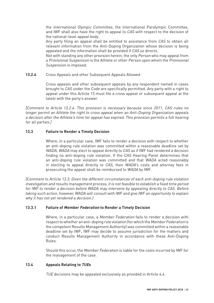the International Olympic Committee, the International Paralympic Committee, and IWF shall also have the right to appeal to CAS with respect to the decision of the national-level appeal body.

Any party filing an appeal shall be entitled to assistance from CAS to obtain all relevant information from the Anti-Doping Organization whose decision is being appealed and the information shall be provided if CAS so directs.

Not with standing any other provision herein, the only Person who may appeal from a Provisional Suspension is the Athlete or other Person upon whom the Provisional Suspension is imposed.

### **13.2.4** Cross Appeals and other Subsequent Appeals Allowed

Cross appeals and other subsequent appeals by any respondent named in cases brought to CAS under the Code are specifically permitted. Any party with a right to appeal under this Article 13 must file a cross appeal or subsequent appeal at the latest with the party's answer.

[Comment to Article 13.2.4: This provision is necessary because since 2011, CAS rules no longer permit an Athlete the right to cross appeal when an Anti-Doping Organization appeals a decision after the Athlete's time for appeal has expired. This provision permits a full hearing for all parties.]

# **13.3 Failure to Render a Timely Decision**

Where, in a particular case, IWF fails to render a decision with respect to whether an anti-doping rule violation was committed within a reasonable deadline set by WADA, WADA may elect to appeal directly to CAS as if IWF had rendered a decision finding no anti-doping rule violation. If the CAS Hearing Panel determines that an anti-doping rule violation was committed and that WADA acted reasonably in electing to appeal directly to CAS, then WADA's costs and attorney fees in prosecuting the appeal shall be reimbursed to WADA by IWF.

[Comment to Article 13.3: Given the different circumstances of each anti-doping rule violation investigation and results management process, it is not feasible to establish a fixed time period for IWF to render a decision before WADA may intervene by appealing directly to CAS. Before taking such action, however, WADA will consult with IWF and give IWF an opportunity to explain why it has not yet rendered a decision.]

## **13.3.1 Failure of Member Federation to Render a Timely Decision**

Where, in a particular case, a *Member Federation* fails to render a decision with respect to whether an anti-doping rule violation (for which the Member Federation is the competent Results Management Authority) was committed within a reasonable deadline set by IWF, IWF may decide to assume jurisdiction for the matters and conduct Results Management Authority in accordance with these Anti-Doping Rules.

Should this occur, the Member Federation is liable for the costs incurred by IWF for the management of the case.

### **13.4 Appeals Relating to TUEs**

TUE decisions may be appealed exclusively as provided in Article 4.4.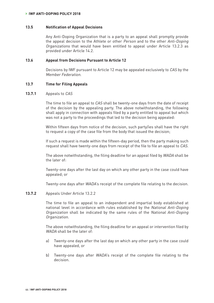#### **13.5 Notification of Appeal Decisions**

Any Anti-Doping Organization that is a party to an appeal shall promptly provide the appeal decision to the Athlete or other Person and to the other Anti-Doping Organizations that would have been entitled to appeal under Article 13.2.3 as provided under Article 14.2.

#### **13.6 Appeal from Decisions Pursuant to Article 12**

Decisions by IWF pursuant to Article 12 may be appealed exclusively to CAS by the Member Federation.

#### **13.7 Time for Filing Appeals**

#### **13.7.1** Appeals to CAS

The time to file an appeal to CAS shall be twenty-one days from the date of receipt of the decision by the appealing party. The above notwithstanding, the following shall apply in connection with appeals filed by a party entitled to appeal but which was not a party to the proceedings that led to the decision being appealed:

Within fifteen days from notice of the decision, such party/ies shall have the right to request a copy of the case file from the body that issued the decision;

If such a request is made within the fifteen-day period, then the party making such request shall have twenty-one days from receipt of the file to file an appeal to CAS.

The above notwithstanding, the filing deadline for an appeal filed by WADA shall be the later of:

Twenty-one days after the last day on which any other party in the case could have appealed; or

Twenty-one days after WADA's receipt of the complete file relating to the decision.

#### **13.7.2** Appeals Under Article 13.2.2

The time to file an appeal to an independent and impartial body established at national level in accordance with rules established by the National Anti-Doping Organization shall be indicated by the same rules of the National Anti-Doping Organization.

The above notwithstanding, the filing deadline for an appeal or intervention filed by WADA shall be the later of

- a) Twenty-one days after the last day on which any other party in the case could have appealed, or
- b) Twenty-one days after *WADA*'s receipt of the complete file relating to the decision.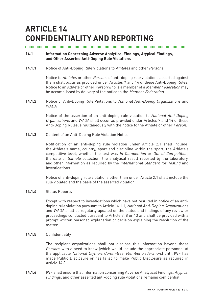# **ARTICLE 14 CONFIDENTIALITY AND REPORTING**

#### 

# **14.1 Information Concerning Adverse Analytical Findings, Atypical Findings, and Other Asserted Anti-Doping Rule Violations**

14.1.1 Notice of Anti-Doping Rule Violations to Athletes and other Persons

Notice to Athletes or other Persons of anti-doping rule violations asserted against them shall occur as provided under Articles 7 and 14 of these Anti-Doping Rules. Notice to an Athlete or other Person who is a member of a Member Federation may be accomplished by delivery of the notice to the Member Federation.

**14.1.2** Notice of Anti-Doping Rule Violations to National Anti-Doping Organizations and WADA

> Notice of the assertion of an anti-doping rule violation to National Anti-Doping Organizations and WADA shall occur as provided under Articles 7 and 14 of these Anti-Doping Rules, simultaneously with the notice to the Athlete or other Person.

**14.1.3** Content of an Anti-Doping Rule Violation Notice

Notification of an anti-doping rule violation under Article 2.1 shall include: the Athlete's name, country, sport and discipline within the sport, the Athlete's competitive level, whether the test was In-Competition or Out-of-Competition, the date of Sample collection, the analytical result reported by the laboratory, and other information as required by the International Standard for Testing and Investigations.

Notice of anti-doping rule violations other than under Article 2.1 shall include the rule violated and the basis of the asserted violation.

# **14.1.4** Status Reports

Except with respect to investigations which have not resulted in notice of an antidoping rule violation pursuant to Article 14.1.1, National Anti-Doping Organizations and WADA shall be regularly updated on the status and findings of any review or proceedings conducted pursuant to Article 7, 8 or 13 and shall be provided with a prompt written reasoned explanation or decision explaining the resolution of the matter.

#### **14.1.5** Confidentiality

The recipient organizations shall not disclose this information beyond those Persons with a need to know (which would include the appropriate personnel at the applicable National Olympic Committee, Member Federation,) until IWF has made Public Disclosure or has failed to make Public Disclosure as required in Article 14.3.

**14.1.6** IWF shall ensure that information concerning Adverse Analytical Findings, Atypical Findings, and other asserted anti-doping rule violations remains confidential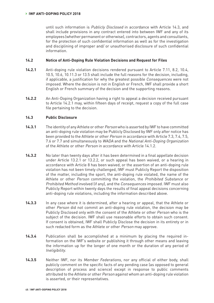until such information is Publicly Disclosed in accordance with Article 14.3, and shall include provisions in any contract entered into between IWF and any of its employees (whether permanent or otherwise), contractors, agents and consultants, for the protection of such confidential information as well as for the investigation and disciplining of improper and/ or unauthorised disclosure of such confidential information.

# **14.2 Notice of Anti-Doping Rule Violation Decisions and Request for Files**

- **14.2.1** Anti-doping rule violation decisions rendered pursuant to Article 7.11, 8.2, 10.4, 10.5, 10.6, 10.11.3 or 13.5 shall include the full reasons for the decision, including, if applicable, a justification for why the greatest possible Consequences were not imposed. Where the decision is not in English or French, IWF shall provide a short English or French summary of the decision and the supporting reasons.
- **14.2.2** An Anti-Doping Organization having a right to appeal a decision received pursuant to Article 14.2.1 may, within fifteen days of receipt, request a copy of the full case file pertaining to the decision.

# **14.3 Public Disclosure**

- **14.3.1** The identity of any Athlete or other Person who is asserted by IWF to have committed an anti-doping rule violation may be Publicly Disclosed by IWF only after notice has been provided to the Athlete or other Person in accordance with Article 7.3, 7.4, 7.5, 7.6 or 7.7 and simultaneously to WADA and the National Anti-Doping Organization of the Athlete or other Person in accordance with Article 14.1.2.
- **14.3.2** No later than twenty days after it has been determined in a final appellate decision under Article 13.2.1 or 13.2.2, or such appeal has been waived, or a hearing in accordance with Article 8 has been waived, or the assertion of an anti-doping rule violation has not been timely challenged, IWF must Publicly Report the disposition of the matter, including the sport, the anti-doping rule violated, the name of the Athlete or other Person committing the violation, the Prohibited Substance or Prohibited Method involved (if any), and the Consequences imposed. IWF must also Publicly Report within twenty days the results of final appeal decisions concerning anti-doping rule violations, including the information described above.
- **14.3.3** In any case where it is determined, after a hearing or appeal, that the Athlete or other Person did not commit an anti-doping rule violation, the decision may be Publicly Disclosed only with the consent of the Athlete or other Person who is the subject of the decision. IWF shall use reasonable efforts to obtain such consent. If consent is obtained, IWF shall Publicly Disclose the decision in its entirety or in such redacted form as the Athlete or other Person may approve.
- **14.3.4** Publication shall be accomplished at a minimum by placing the required information on the IWF's website or publishing it through other means and leaving the information up for the longer of one month or the duration of any period of Ineligibility.
- **14.3.5** Neither IWF, nor its Member Federations, nor any official of either body, shall publicly comment on the specific facts of any pending case (as opposed to general description of process and science) except in response to public comments attributed to the Athlete or other Person against whom an anti-doping rule violation is asserted, or their representatives.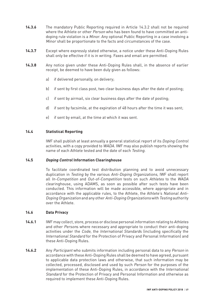- **14.3.6** The mandatory Public Reporting required in Article 14.3.2 shall not be required where the Athlete or other *Person* who has been found to have committed an antidoping rule violation is a Minor. Any optional Public Reporting in a case involving a Minor shall be proportionate to the facts and circumstances of the case.
- **14.3.7** Except where expressly stated otherwise, a notice under these Anti-Doping Rules shall only be effective if it is in writing. Faxes and email are permitted.
- **14.3.8** Any notice given under these Anti-Doping Rules shall, in the absence of earlier receipt, be deemed to have been duly given as follows:
	- a) if delivered personally, on delivery;
	- b) if sent by first class post, two clear business days after the date of posting;
	- c) if sent by airmail, six clear business days after the date of posting;
	- d) if sent by facsimile, at the expiration of 48 hours after the time it was sent;
	- e) if sent by email, at the time at which it was sent.

# **14.4 Statistical Reporting**

IWF shall publish at least annually a general statistical report of its Doping Control activities, with a copy provided to WADA. IWF may also publish reports showing the name of each Athlete tested and the date of each Testing.

### **14.5 Doping Control Information Clearinghouse**

To facilitate coordinated test distribution planning and to avoid unnecessary duplication in Testing by the various Anti-Doping Organizations, IWF shall report all In-Competition and Out-of-Competition tests on such Athletes to the WADA clearinghouse, using ADAMS, as soon as possible after such tests have been conducted. This information will be made accessible, where appropriate and in accordance with the applicable rules, to the Athlete, the Athlete's National Anti-Doping Organization and any other Anti-Doping Organizations with Testing authority over the Athlete.

# **14.6 Data Privacy**

- **14.6.1** IWF may collect, store, process or disclose personal information relating to Athletes and other Persons where necessary and appropriate to conduct their anti-doping activities under the Code, the International Standards (including specifically the International Standard for the Protection of Privacy and Personal Information) and these Anti-Doping Rules.
- **14.6.2** Any Participant who submits information including personal data to any Person in accordance with these Anti-Doping Rules shall be deemed to have agreed, pursuant to applicable data protection laws and otherwise, that such information may be collected, processed, disclosed and used by such Person for the purposes of the implementation of these Anti-Doping Rules, in accordance with the International Standard for the Protection of Privacy and Personal Information and otherwise as required to implement these Anti-Doping Rules.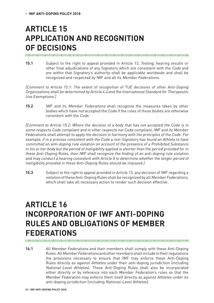# **ARTICLE 15 APPLICATION AND RECOGNITION OF DECISIONS**

#### 

**15.1** Subject to the right to appeal provided in Article 13, Testing, hearing results or other final adjudications of any Signatory which are consistent with the Code and are within that Signatory's authority shall be applicable worldwide and shall be recognized and respected by IWF and all its Member Federations.

[Comment to Article 15.1: The extent of recognition of TUE decisions of other Anti-Doping Organizations shall be determined by Article 4.4 and the International Standard for Therapeutic Use Exemptions.]

**15.2** IWF and its Member Federations shall recognize the measures taken by other bodies which have not accepted the Code if the rules of those bodies are otherwise consistent with the Code.

[Comment to Article 15.2: Where the decision of a body that has not accepted the Code is in some respects Code compliant and in other respects not Code compliant, IWF and its Member Federations shall attempt to apply the decision in harmony with the principles of the Code. For example, if in a process consistent with the Code a non-Signatory has found an Athlete to have committed an anti-doping rule violation on account of the presence of a Prohibited Substance in his or her body but the period of Ineligibility applied is shorter than the period provided for in these Anti-Doping Rules, then IWF shall recognize the finding of an anti-doping rule violation and may conduct a hearing consistent with Article 8 to determine whether the longer period of Ineligibility provided in these Anti-Doping Rules should be imposed.]

**15.3** Subject to the right to appeal provided in Article 13, any decision of IWF regarding a violation of these Anti-Doping Rules shall be recognized by all Member Federations, which shall take all necessary action to render such decision effective.

# **ARTICLE 16 INCORPORATION OF IWF ANTI-DOPING RULES AND OBLIGATIONS OF MEMBER FEDERATIONS**

**16.1** All Member Federations and their members shall comply with these Anti-Doping Rules. All Member Federations and other members shall include in their regulations the provisions necessary to ensure that IWF may enforce these Anti-Doping Rules directly as against Athletes under their anti-doping jurisdiction (including National-Level Athletes). These Anti-Doping Rules shall also be incorporated either directly or by reference into each Member Federation's rules so that the Member Federation may enforce them itself directly as against Athletes under its anti-doping jurisdiction (including National-Level Athletes).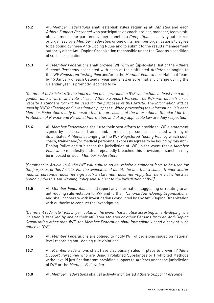- **16.2** All Member Federations shall establish rules requiring all Athletes and each Athlete Support Personnel who participates as coach, trainer, manager, team staff, official, medical or paramedical personnel in a Competition or activity authorized or organized by a Member Federation or one of its member organizations to agree to be bound by these Anti-Doping Rules and to submit to the results management authority of the Anti-Doping Organization responsible under the Code as a condition of such participation.
- **16.3** All Member Federations shall provide IWF with an (up-to-date) list of the Athlete Support Personnel associated with each of their affiliated Athletes belonging to the IWF Registered Testing Pool and/or to the Member Federation's National Team by 15 January of each Calendar year and shall ensure that any change during the Calendar year is promptly reported to IWF.

[Comment to Article 16.3: the information to be provided to IWF will include at least the name, gender, date of birth and role of each Athlete Support Person. The IWF will publish on its website a standard form to be used for the purposes of this Article. The information will be used by IWF for Testing and investigation purposes. When processing the information, it is each Member Federation's duty to ensure that the provisions of the International Standard for the Protection of Privacy and Personal Information and of any applicable law are duly respected.]

**16.4** All Member Federations shall use their best efforts to provide to IWF a statement signed by each coach, trainer and/or medical personnel associated with any of its affiliated Athletes belonging to the IWF Registered Testing Pool by which such coach, trainer and/or medical personnel expressly agrees to be bound by this Anti-Doping Policy and subject to the jurisdiction of IWF. In the event that a Member Federation manifestly and/or repeatedly breaches this provision, a sanction may be imposed on such Member Federation.

[Comment to Article 16.4: the IWF will publish on its website a standard form to be used for the purposes of this Article. For the avoidance of doubt, the fact that a coach, trainer and/or medical personnel does not sign such a statement does not imply that he is not otherwise bound by the this Anti-Doping Policy and subject to the jurisdiction of IWF]

**16.5** All Member Federations shall report any information suggesting or relating to an anti-doping rule violation to IWF and to their National Anti-Doping Organizations, and shall cooperate with investigations conducted by any Anti-Doping Organization with authority to conduct the investigation.

[Comment to Article 16.5: in particular, in the event that a notice asserting an anti-doping rule violation is received by one of their affiliated Athletes or other Persons from an Anti-Doping Organisation other than IWF, the Member Federation shall immediately send a copy of such notice to IWF]

- **16.6** All Member Federations are obliged to notify IWF of decisions issued on national level regarding anti-doping rule violations.
- **16.7** All Member Federations shall have disciplinary rules in place to prevent Athlete Support Personnel who are Using Prohibited Substances or Prohibited Methods without valid justification from providing support to Athletes under the jurisdiction of IWF or the Member Federation.
- **16.8** All Member Federations shall a) actively monitor all Athlete Support Personnel,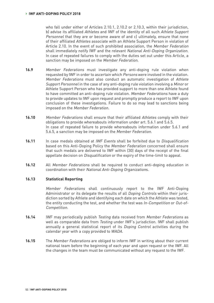who fall under either of Articles 2.10.1, 2.10.2 or 2.10.3, within their jurisdiction, b) advise its affiliated Athletes and IWF of the identity of all such Athlete Support Personnel that they are or become aware of and c) ultimately, ensure that none of their affiliated Athletes associate with an Athlete Support Person in violation of Article 2.10. In the event of such prohibited association, the Member Federation shall immediately notify IWF and the relevant National Anti-Doping Organization. In case of repeated failures to comply with the duties set out under this Article, a sanction may be imposed on the Member Federation.

- **16.9** Member Federations must investigate any anti-doping rule violation when requested by IWF in order to ascertain which Persons were involved in the violation. Member Federations must also conduct an automatic investigation of Athlete Support Personnel in the case of any anti-doping rule violation involving a Minor or Athlete Support Person who has provided support to more than one Athlete found to have committed an anti-doping rule violation. Member Federations have a duty to provide updates to IWF upon request and promptly produce a report to IWF upon conclusion of these investigations. Failure to do so may lead to sanctions being imposed on the Member Federation.
- **16.10** Member Federations shall ensure that their affiliated Athletes comply with their obligations to provide whereabouts information under art. 5.6.1 and 5.6.5. In case of repeated failure to provide whereabouts information under 5.6.1 and 5.6.5, a sanction may be imposed on the Member Federation.
- **16.11** In case medals obtained at IWF Events shall be forfeited due to Disqualification based on this Anti-Doping Policy the Member Federation concerned shall ensure that such medals are delivered to IWF within (30) days of the receipt of the final appellate decision on Disqualification or the expiry of the time-limit to appeal.
- **16.12** All Member Federations shall be required to conduct anti-doping education in coordination with their National Anti-Doping Organizations.

# **16.13 Statistical Reporting**

Member Federations shall continuously report to the IWF Anti-Doping Administrator or its delegate the results of all Doping Controls within their jurisdiction sorted by Athlete and identifying each date on which the Athlete was tested, the entity conducting the test, and whether the test was In-Competition or Out-of-Competition.

- **16.14** IWF may periodically publish Testing data received from Member Federations as well as comparable data from Testing under IWF's jurisdiction. IWF shall publish annually a general statistical report of its *Doping Control* activities during the calendar year with a copy provided to WADA.
- **16.15** The Member Federations are obliged to inform IWF in writing about their current national team before the beginning of each year and upon request or the IWF. All the changes in the team must be communicated without any request to the IWF.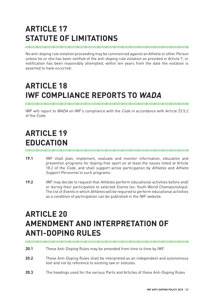# **ARTICLE 17 STATUTE OF LIMITATIONS**

# 

No anti-doping rule violation proceeding may be commenced against an Athlete or other Person unless he or she has been notified of the anti-doping rule violation as provided in Article 7, or notification has been reasonably attempted, within ten years from the date the violation is asserted to have occurred.

# **ARTICLE 18 IWF COMPLIANCE REPORTS TO WADA**

IWF will report to WADA on IWF's compliance with the Code in accordance with Article 23.5.2 of the Code.

# **ARTICLE 19 EDUCATION**

- **19.1** IWF shall plan, implement, evaluate and monitor information, education and prevention programs for doping-free sport on at least the issues listed at Article 18.2 of the Code, and shall support active participation by Athletes and Athlete Support Personnel in such programs.
- **19.2** IWF may decide to request that Athletes perform educational activities before and/ or during their participation to selected Events (ex: Youth World Championships). The list of Events in which Athletes will be required to perform educational activities as a condition of participation can be published in the IWF website.

# **ARTICLE 20 AMENDMENT AND INTERPRETATION OF ANTI-DOPING RULES**

- **20.1** These Anti-Doping Rules may be amended from time to time by IWF.
- **20.2** These Anti-Doping Rules shall be interpreted as an independent and autonomous text and not by reference to existing law or statutes.
- **20.3** The headings used for the various Parts and Articles of these Anti-Doping Rules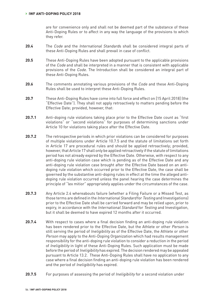are for convenience only and shall not be deemed part of the substance of these Anti-Doping Rules or to affect in any way the language of the provisions to which they refer.

- **20.4** The Code and the International Standards shall be considered integral parts of these Anti-Doping Rules and shall prevail in case of conflict.
- **20.5** These Anti-Doping Rules have been adopted pursuant to the applicable provisions of the Code and shall be interpreted in a manner that is consistent with applicable provisions of the Code. The Introduction shall be considered an integral part of these Anti-Doping Rules.
- **20.6** The comments annotating various provisions of the Code and these Anti-Doping Rules shall be used to interpret these Anti-Doping Rules.
- **20.7** These Anti-Doping Rules have come into full force and effect on [15 April 2018] (the "Effective Date"). They shall not apply retroactively to matters pending before the Effective Date; provided, however, that:
- 20.7.1 Anti-doping rule violations taking place prior to the Effective Date count as "first violations" or "second violations" for purposes of determining sanctions under Article 10 for violations taking place after the Effective Date.
- **20.7.2** The retrospective periods in which prior violations can be considered for purposes of multiple violations under Article 10.7.5 and the statute of limitations set forth in Article 17 are procedural rules and should be applied retroactively; provided, however, that Article 17 shall only be applied retroactively if the statute of limitations period has not already expired by the Effective Date. Otherwise, with respect to any anti-doping rule violation case which is pending as of the Effective Date and any anti-doping rule violation case brought after the Effective Date based on an antidoping rule violation which occurred prior to the Effective Date, the case shall be governed by the substantive anti-doping rules in effect at the time the alleged antidoping rule violation occurred unless the panel hearing the case determines the principle of "lex mitior" appropriately applies under the circumstances of the case.
- **20.7.3** Any Article 2.4 whereabouts failure (whether a Filing Failure or a Missed Test, as those terms are defined in the International Standard for Testing and Investigations) prior to the Effective Date shall be carried forward and may be relied upon, prior to expiry, in accordance with the International Standard for Testing and Investigation, but it shall be deemed to have expired 12 months after it occurred.
- **20.7.4** With respect to cases where a final decision finding an anti-doping rule violation has been rendered prior to the Effective Date, but the Athlete or other Person is still serving the period of Ineligibility as of the Effective Date, the Athlete or other Person may apply to the Anti-Doping Organization which had results management responsibility for the anti-doping rule violation to consider a reduction in the period of Ineligibility in light of these Anti-Doping Rules. Such application must be made before the period of Ineligibility has expired. The decision rendered may be appealed pursuant to Article 13.2. These Anti-Doping Rules shall have no application to any case where a final decision finding an anti-doping rule violation has been rendered and the period of Ineligibility has expired.
- **20.7.5** For purposes of assessing the period of Ineligibility for a second violation under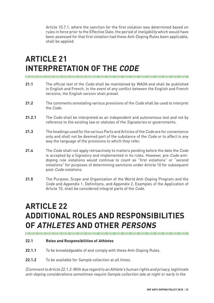Article 10.7.1, where the sanction for the first violation was determined based on rules in force prior to the Effective Date, the period of Ineligibility which would have been assessed for that first violation had these Anti-Doping Rules been applicable, shall be applied.

# **ARTICLE 21 INTERPRETATION OF THE CODE**

- **21.1** The official text of the Code shall be maintained by WADA and shall be published in English and French. In the event of any conflict between the English and French versions, the English version shall prevail
- **21.2** The comments annotating various provisions of the Code shall be used to interpret the Code.
- **21.2.1** The Code shall be interpreted as an independent and autonomous text and not by reference to the existing law or statutes of the Signatories or governments.
- **21.3** The headings used for the various Parts and Articles of the Code are for convenience only and shall not be deemed part of the substance of the Code or to affect in any way the language of the provisions to which they refer.
- **21.4** The Code shall not apply retroactively to matters pending before the date the Code is accepted by a Signatory and implemented in its rules. However, pre-Code antidoping rule violations would continue to count as "first violations" or "second violations" for purposes of determining sanctions under Article 10 for subsequent post-Code violations.
- **21.5** The Purpose, Scope and Organization of the World Anti-Doping Program and the Code and Appendix 1, Definitions, and Appendix 2, Examples of the Application of Article 10, shall be considered integral parts of the Code.

# **ARTICLE 22 ADDITIONAL ROLES AND RESPONSIBILITIES OF ATHLETES AND OTHER PERSONS**

#### 

#### **22.1 Roles and Responsibilities of Athletes**

- **22.1.1** To be knowledgeable of and comply with these Anti-Doping Rules.
- 22.1.2 To be available for Sample collection at all times.

[Comment to Article 22.1.2: With due regard to an Athlete's human rights and privacy, legitimate anti-doping considerations sometimes require Sample collection late at night or early in the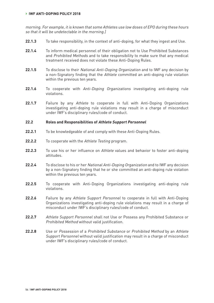#### **› IWF ANTI-DOPING POLICY 2018**

morning. For example, it is known that some Athletes use low doses of EPO during these hours so that it will be undetectable in the morning.]

- **22.1.3** To take responsibility, in the context of anti-doping, for what they ingest and Use.
- **22.1.4** To inform medical personnel of their obligation not to Use Prohibited Substances and Prohibited Methods and to take responsibility to make sure that any medical treatment received does not violate these Anti-Doping Rules.
- **22.1.5** To disclose to their National Anti-Doping Organization and to IWF any decision by a non-Signatory finding that the Athlete committed an anti-doping rule violation within the previous ten years.
- **22.1.6** To cooperate with Anti-Doping Organizations investigating anti-doping rule violations.
- **22.1.7** Failure by any Athlete to cooperate in full with Anti-Doping Organizations investigating anti-doping rule violations may result in a charge of misconduct under IWF's disciplinary rules/code of conduct.

#### **22.2 Roles and Responsibilities of Athlete Support Personnel**

- **22.2.1** To be knowledgeable of and comply with these Anti-Doping Rules.
- **22.2.2** To cooperate with the Athlete Testing program.
- **22.2.3** To use his or her influence on Athlete values and behavior to foster anti-doping attitudes.
- **22.2.4** To disclose to his or her National Anti-Doping Organization and to IWF any decision by a non-Signatory finding that he or she committed an anti-doping rule violation within the previous ten years.
- **22.2.5** To cooperate with Anti-Doping Organizations investigating anti-doping rule violations.
- 22.2.6 Failure by any Athlete Support Personnel to cooperate in full with Anti-Doping Organizations investigating anti-doping rule violations may result in a charge of misconduct under IWF's disciplinary rules/code of conduct.
- 22.2.7 Athlete Support Personnel shall not Use or Possess any Prohibited Substance or Prohibited Method without valid justification.
- **22.2.8** Use or Possession of a Prohibited Substance or Prohibited Method by an Athlete Support Personnel without valid justification may result in a charge of misconduct under IWF's disciplinary rules/code of conduct.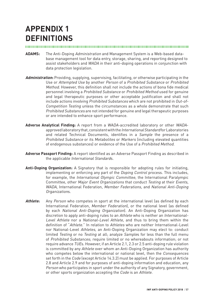# **APPENDIX 1 DEFINITIONS**

- **ADAMS:** The Anti-Doping Administration and Management System is a Web-based database management tool for data entry, storage, sharing, and reporting designed to assist stakeholders and WADA in their anti-doping operations in conjunction with data protection legislation.
- **Administration:** Providing, supplying, supervising, facilitating, or otherwise participating in the Use or Attempted Use by another Person of a Prohibited Substance or Prohibited Method. However, this definition shall not include the actions of bona fide medical personnel involving a Prohibited Substance or Prohibited Method used for genuine and legal therapeutic purposes or other acceptable justification and shall not include actions involving Prohibited Substances which are not prohibited in Out-of-Competition Testing unless the circumstances as a whole demonstrate that such Prohibited Substances are not intended for genuine and legal therapeutic purposes or are intended to enhance sport performance.
- **Adverse Analytical Finding:** A report from a WADA-accredited laboratory or other WADAapproved laboratory that, consistent with the International Standard for Laboratories and related Technical Documents, identifies in a Sample the presence of a Prohibited Substance or its Metabolites or Markers (including elevated quantities of endogenous substances) or evidence of the Use of a Prohibited Method.
- **Adverse Passport Finding:** A report identified as an Adverse Passport Finding as described in the applicable International Standards.
- **Anti-Doping Organization:** A Signatory that is responsible for adopting rules for initiating, implementing or enforcing any part of the Doping Control process. This includes, for example, the International Olympic Committee, the International Paralympic Committee, other Major Event Organizations that conduct Testing at their Events, WADA, International Federation, Member Federations, and National Anti-Doping Organizations.
- **Athlete:** Any Person who competes in sport at the international level (as defined by each International Federation, Member Federation), or the national level (as defined by each National Anti-Doping Organization). An Anti-Doping Organization has discretion to apply anti-doping rules to an Athlete who is neither an International-Level Athlete nor a National-Level Athlete, and thus to bring them within the definition of "Athlete." In relation to Athletes who are neither International-Level nor National-Level Athletes, an Anti-Doping Organization may elect to: conduct limited Testing or no Testing at all; analyze Samples for less than the full menu of Prohibited Substances; require limited or no whereabouts information; or not require advance TUEs. However, if an Article 2.1, 2.3 or 2.5 anti-doping rule violation is committed by any Athlete over whom an Anti-Doping Organization has authority who competes below the international or national level, then the *Consequences* set forth in the Code (except Article 14.3.2) must be applied. For purposes of Article 2.8 and Article 2.9 and for purposes of anti-doping information and education, any Person who participates in sport under the authority of any Signatory, government, or other sports organization accepting the Code is an Athlete.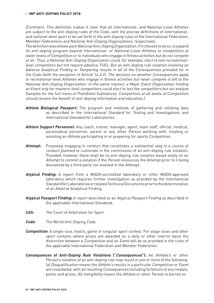[Comment: This definition makes it clear that all International- and National-Level Athletes are subject to the anti-doping rules of the Code, with the precise definitions of internationaland national-level sport to be set forth in the anti-doping rules of the International Federation, Member Federations and National Anti-Doping Organizations, respectively.

The definition also allows each National Anti-Doping Organization, if it chooses to do so, to expand its anti-doping program beyond International- or National-Level Athletes to competitors at lower levels of Competition or to individuals who engage in fitness activities but do not compete at all. Thus, a National Anti-Doping Organization could, for example, elect to test recreationallevel competitors but not require advance TUEs. But an anti-doping rule violation involving an Adverse Analytical Finding or Tampering results in all of the Consequences provided for in the Code (with the exception of Article 14.3.2). The decision on whether Consequences apply to recreational-level Athletes who engage in fitness activities but never compete is left to the National Anti-Doping Organization. In the same manner, a Major Event Organization holding an Event only for masters-level competitors could elect to test the competitors but not analyze Samples for the full menu of Prohibited Substances. Competitors at all levels of Competition should receive the benefit of anti-doping information and education.]

- **Athlete Biological Passport:** The program and methods of gathering and collating data as described in the International Standard for Testing and Investigations and International Standard for Laboratories.
- **Athlete Support Personnel:** Any coach, trainer, manager, agent, team staff, official, medical, paramedical personnel, parent or any other Person working with, treating or assisting an Athlete participating in or preparing for sports Competition.
- **Attempt:** Purposely engaging in conduct that constitutes a substantial step in a course of conduct planned to culminate in the commission of an anti-doping rule violation. Provided, however, there shall be no anti-doping rule violation based solely on an Attempt to commit a violation if the Person renounces the Attempt prior to it being discovered by a third party not involved in the Attempt.
- **Atypical Finding:** A report from a WADA-accredited laboratory or other WADA-approved laboratory which requires further investigation as provided by the International Standard for Laboratories or related Technical Documents prior to the determination of an Adverse Analytical Finding.
- **Atypical Passport Finding:** A report described as an Atypical Passport Finding as described in the applicable International Standards.
- **CAS:** The Court of Arbitration for Sport.
- **Code:** The World Anti-Doping Code.
- **Competition:** A single race, match, game or singular sport contest. For stage races and other sport contests where prizes are awarded on a daily or other interim basis the distinction between a Competition and an Event will be as provided in the rules of the applicable International Federation and Member Federation.
- **Consequences of Anti-Doping Rule Violations ("Consequences"):** An Athlete's or other Person's violation of an anti-doping rule may result in one or more of the following: (a) Disqualification means the Athlete's results in a particular Competition or Event are invalidated, with all resulting Consequences including forfeiture of any medals, points and prizes; (b) Ineligibility means the Athlete or other Person is barred on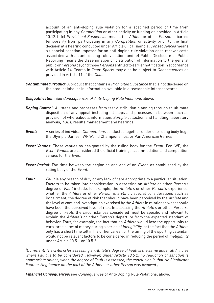account of an anti-doping rule violation for a specified period of time from participating in any Competition or other activity or funding as provided in Article 10.12.1; (c) Provisional Suspension means the Athlete or other Person is barred temporarily from participating in any Competition or activity prior to the final decision at a hearing conducted under Article 8; (d) Financial Consequences means a financial sanction imposed for an anti-doping rule violation or to recover costs associated with an anti-doping rule violation; and (e) Public Disclosure or Public Reporting means the dissemination or distribution of information to the general public or Persons beyond those Persons entitled to earlier notification in accordance with Article 14. Teams in Team Sports may also be subject to Consequences as provided in Article 11 of the Code.

- **Contaminated Product:** A product that contains a Prohibited Substance that is not disclosed on the product label or in information available in a reasonable Internet search.
- **Disqualification:** See Consequences of Anti-Doping Rule Violations above.
- **Doping Control**: All steps and processes from test distribution planning through to ultimate disposition of any appeal including all steps and processes in between such as provision of whereabouts information, Sample collection and handling, laboratory analysis, TUEs, results management and hearings.
- **Event:** A series of individual *Competitions* conducted together under one ruling body (e.g., the Olympic Games, IWF World Championships, or Pan American Games).
- **Event Venues:** Those venues so designated by the ruling body for the Event. For IWF, the Event Venues are considered the official training, accommodation and competition venues for the Event.
- **Event Period:** The time between the beginning and end of an Event, as established by the ruling body of the Event.
- **Fault:** Fault is any breach of duty or any lack of care appropriate to a particular situation. Factors to be taken into consideration in assessing an Athlete or other Person's degree of Fault include, for example, the Athlete's or other Person's experience, whether the Athlete or other Person is a Minor, special considerations such as impairment, the degree of risk that should have been perceived by the Athlete and the level of care and investigation exercised by the Athlete in relation to what should have been the perceived level of risk. In assessing the Athlete's or other Person's degree of Fault, the circumstances considered must be specific and relevant to explain the Athlete's or other Person's departure from the expected standard of behavior. Thus, for example, the fact that an Athlete would lose the opportunity to earn large sums of money during a period of *Ineligibility*, or the fact that the Athlete only has a short time left in his or her career, or the timing of the sporting calendar, would not be relevant factors to be considered in reducing the period of Ineligibility under Article 10.5.1 or 10.5.2.

[Comment: The criteria for assessing an Athlete's degree of Fault is the same under all Articles where Fault is to be considered. However, under Article 10.5.2, no reduction of sanction is appropriate unless, when the degree of Fault is assessed, the conclusion is that No Significant Fault or Negligence on the part of the Athlete or other Person was involved.]

**Financial Consequences:** see Consequences of Anti-Doping Rule Violations, above.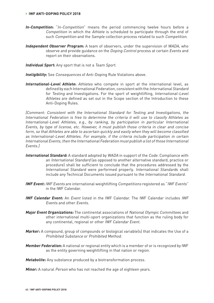- **In-Competition:** "In-Competition" means the period commencing twelve hours before a Competition in which the Athlete is scheduled to participate through the end of such Competition and the Sample collection process related to such Competition.
- **Independent Observer Program:** A team of observers, under the supervision of WADA, who observe and provide guidance on the Doping Control process at certain Events and report on their observations.
- **Individual Sport:** Any sport that is not a Team Sport.
- **Ineligibility:** See *Consequences* of Anti-Doping Rule Violations above.
- **International-Level Athlete:** Athletes who compete in sport at the international level, as defined by each International Federation, consistent with the International Standard for Testing and Investigations. For the sport of weightlifting, International-Level Athletes are defined as set out in the Scope section of the Introduction to these Anti-Doping Rules.

[Comment: Consistent with the International Standard for Testing and Investigations, the International Federation is free to determine the criteria it will use to classify Athletes as International-Level Athletes, e.g., by ranking, by participation in particular International Events, by type of license, etc. However, it must publish those criteria in clear and concise form, so that Athletes are able to ascertain quickly and easily when they will become classified as International-Level Athletes. For example, if the criteria include participation in certain International Events, then the International Federation must publish a list of those International Events.]

- **International Standard:** A standard adopted by WADA in support of the Code. Compliance with an International Standard (as opposed to another alternative standard, practice or procedure) shall be sufficient to conclude that the procedures addressed by the International Standard were performed properly. International Standards shall include any Technical Documents issued pursuant to the International Standard.
- **IWF Event:** IWF Events are international weightlifting Competitions registered as "IWF Events" in the IWF Calendar.
- **IWF Calendar Event:** An Event listed in the IWF Calendar. The IWF Calendar includes IWF Events and other Events.
- **Major Event Organizations:** The continental associations of National Olympic Committees and other international multi-sport organizations that function as the ruling body for any continental, regional or other IWF Calendar Event.
- **Marker:** A compound, group of compounds or biological variable(s) that indicates the Use of a Prohibited Substance or Prohibited Method.
- **Member Federation:** A national or regional entity which is a member of or is recognized by IWF as the entity governing weightlifting in that nation or region.

**Metabolite:** Any substance produced by a biotransformation process.

**Minor:** A natural Person who has not reached the age of eighteen years.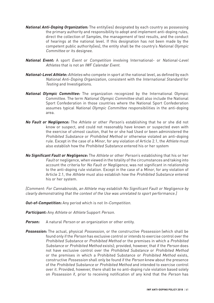- **National Anti-Doping Organization:** The entity(ies) designated by each country as possessing the primary authority and responsibility to adopt and implement anti-doping rules, direct the collection of Samples, the management of test results, and the conduct of hearings at the national level. If this designation has not been made by the competent public authority(ies), the entity shall be the country's National Olympic Committee or its designee.
- **National Event:** A sport Event or Competition involving International- or National-Level Athletes that is not an IWF Calendar Event.
- **National-Level Athlete:** Athletes who compete in sport at the national level, as defined by each National Anti-Doping Organization, consistent with the International Standard for Testing and Investigations.
- **National Olympic Committee:** The organization recognized by the International Olympic Committee. The term National Olympic Committee shall also include the National Sport Confederation in those countries where the National Sport Confederation assumes typical National Olympic Committee responsibilities in the anti-doping area.
- **No Fault or Negligence:** The Athlete or other Person's establishing that he or she did not know or suspect, and could not reasonably have known or suspected even with the exercise of utmost caution, that he or she had Used or been administered the Prohibited Substance or Prohibited Method or otherwise violated an anti-doping rule. Except in the case of a Minor, for any violation of Article 2.1, the Athlete must also establish how the Prohibited Substance entered his or her system
- **No Significant Fault or Negligence:** The Athlete or other Person's establishing that his or her Fault or negligence, when viewed in the totality of the circumstances and taking into account the criteria for No Fault or Negligence, was not significant in relationship to the anti-doping rule violation. Except in the case of a Minor, for any violation of Article 2.1, the Athlete must also establish how the Prohibited Substance entered his or her system.

[Comment: For Cannabinoids, an Athlete may establish No Significant Fault or Negligence by clearly demonstrating that the context of the Use was unrelated to sport performance.]

**Out-of-Competition:** Any period which is not In-Competition.

**Participant:** Any Athlete or Athlete Support Person.

- Person: A natural Person or an organization or other entity.
- **Possession:** The actual, physical Possession, or the constructive Possession (which shall be found only if the Person has exclusive control or intends to exercise control over the Prohibited Substance or Prohibited Method or the premises in which a Prohibited Substance or Prohibited Method exists); provided, however, that if the Person does not have exclusive control over the Prohibited Substance or Prohibited Method or the premises in which a Prohibited Substance or Prohibited Method exists, constructive Possession shall only be found if the Person knew about the presence of the Prohibited Substance or Prohibited Method and intended to exercise control over it. Provided, however, there shall be no anti-doping rule violation based solely on Possession if, prior to receiving notification of any kind that the Person has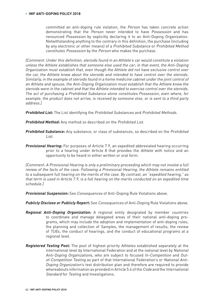committed an anti-doping rule violation, the Person has taken concrete action demonstrating that the Person never intended to have Possession and has renounced Possession by explicitly declaring it to an Anti-Doping Organization. Notwithstanding anything to the contrary in this definition, the purchase (including by any electronic or other means) of a Prohibited Substance or Prohibited Method constitutes Possession by the Person who makes the purchase.

[Comment: Under this definition, steroids found in an Athlete's car would constitute a violation unless the Athlete establishes that someone else used the car; in that event, the Anti-Doping Organization must establish that, even though the Athlete did not have exclusive control over the car, the Athlete knew about the steroids and intended to have control over the steroids. Similarly, in the example of steroids found in a home medicine cabinet under the joint control of an Athlete and spouse, the Anti-Doping Organization must establish that the Athlete knew the steroids were in the cabinet and that the Athlete intended to exercise control over the steroids. The act of purchasing a Prohibited Substance alone constitutes Possession, even where, for example, the product does not arrive, is received by someone else, or is sent to a third party address.]

**Prohibited List:** The List identifying the Prohibited Substances and Prohibited Methods.

**Prohibited Method:** Any method so described on the Prohibited List.

- **Prohibited Substance:** Any substance, or class of substances, so described on the Prohibited List.
- **Provisional Hearing:** For purposes of Article 7.9, an expedited abbreviated hearing occurring prior to a hearing under Article 8 that provides the Athlete with notice and an opportunity to be heard in either written or oral form.

[Comment: A Provisional Hearing is only a preliminary proceeding which may not involve a full review of the facts of the case. Following a Provisional Hearing, the Athlete remains entitled to a subsequent full hearing on the merits of the case. By contrast, an "expedited hearing," as that term is used in Article 7.9, is a full hearing on the merits conducted on an expedited time schedule.]

**Provisional Suspension:** See Consequences of Anti-Doping Rule Violations above.

**Publicly Disclose or Publicly Report:** See Consequences of Anti-Doping Rule Violations above.

- **Regional Anti-Doping Organization:** A regional entity designated by member countries to coordinate and manage delegated areas of their national anti-doping programs, which may include the adoption and implementation of anti-doping rules, the planning and collection of Samples, the management of results, the review of TUEs, the conduct of hearings, and the conduct of educational programs at a regional level.
- **Registered Testing Pool:** The pool of highest priority Athletes established separately at the international level by International Federation and at the national level by National Anti-Doping Organizations, who are subject to focused In-Competition and Outof-Competition Testing as part of that International Federation's or National Anti-Doping Organization's test distribution plan and therefore are required to provide whereabouts information as provided in Article 5.6 of the Code and the International Standard for Testing and Investigations.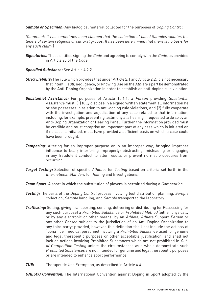**Sample or Specimen:** Any biological material collected for the purposes of Doping Control.

[Comment: It has sometimes been claimed that the collection of blood Samples violates the tenets of certain religious or cultural groups. It has been determined that there is no basis for any such claim.]

- **Signatories:** Those entities signing the Code and agreeing to comply with the Code, as provided in Article 23 of the Code.
- **Specified Substance:** See Article 4.2.2.
- **Strict Liability:** The rule which provides that under Article 2.1 and Article 2.2, it is not necessary that intent, Fault, negligence, or knowing Use on the Athlete's part be demonstrated by the Anti-Doping Organization in order to establish an anti-doping rule violation.
- **Substantial Assistance:** For purposes of Article 10.6.1, a Person providing Substantial Assistance must: (1) fully disclose in a signed written statement all information he or she possesses in relation to anti-doping rule violations, and (2) fully cooperate with the investigation and adjudication of any case related to that information, including, for example, presenting testimony at a hearing if requested to do so by an Anti-Doping Organization or Hearing Panel. Further, the information provided must be credible and must comprise an important part of any case which is initiated or, if no case is initiated, must have provided a sufficient basis on which a case could have been brought.
- **Tampering:** Altering for an improper purpose or in an improper way; bringing improper influence to bear; interfering improperly; obstructing, misleading or engaging in any fraudulent conduct to alter results or prevent normal procedures from occurring.
- **Target Testing:** Selection of specific Athletes for Testing based on criteria set forth in the International Standard for Testing and Investigations.
- **Team Sport:** A sport in which the substitution of players is permitted during a *Competition*.
- **Testing:** The parts of the Doping Control process involving test distribution planning, Sample collection, Sample handling, and Sample transport to the laboratory.
- **Trafficking:** Selling, giving, transporting, sending, delivering or distributing (or Possessing for any such purpose) a Prohibited Substance or Prohibited Method (either physically or by any electronic or other means) by an Athlete, Athlete Support Person or any other Person subject to the jurisdiction of an Anti-Doping Organization to any third party; provided, however, this definition shall not include the actions of "bona fide" medical personnel involving a Prohibited Substance used for genuine and legal therapeutic purposes or other acceptable justification, and shall not include actions involving Prohibited Substances which are not prohibited in Outof-Competition Testing unless the circumstances as a whole demonstrate such Prohibited Substances are not intended for genuine and legal therapeutic purposes or are intended to enhance sport performance.
- **TUE:** Therapeutic Use Exemption, as described in Article 4.4.

**UNESCO Convention:** The International Convention against Doping in Sport adopted by the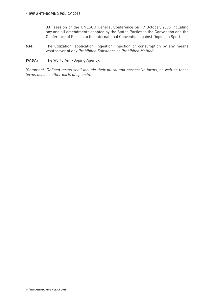33<sup>rd</sup> session of the UNESCO General Conference on 19 October, 2005 including any and all amendments adopted by the States Parties to the Convention and the Conference of Parties to the International Convention against Doping in Sport.

- **Use:** The utilization, application, ingestion, injection or consumption by any means whatsoever of any Prohibited Substance or Prohibited Method.
- **WADA:** The World Anti-Doping Agency.

[Comment: Defined terms shall include their plural and possessive forms, as well as those terms used as other parts of speech].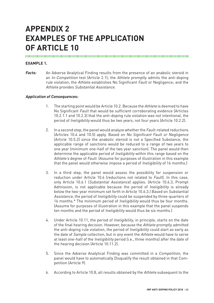# **APPENDIX 2 EXAMPLES OF THE APPLICATION OF ARTICLE 10**

# 

### **EXAMPLE 1.**

**Facts:** An Adverse Analytical Finding results from the presence of an anabolic steroid in an In-Competition test (Article 2.1); the Athlete promptly admits the anti-doping rule violation; the Athlete establishes No Significant Fault or Negligence; and the Athlete provides Substantial Assistance.

- 1. The starting point would be Article 10.2. Because the Athlete is deemed to have No Significant Fault that would be sufficient corroborating evidence (Articles 10.2.1.1 and 10.2.3) that the anti-doping rule violation was not intentional, the period of Ineligibility would thus be two years, not four years (Article 10.2.2).
- 2. In a second step, the panel would analyze whether the Fault-related reductions (Articles 10.4 and 10.5) apply. Based on No Significant Fault or Negligence (Article 10.5.2) since the anabolic steroid is not a Specified Substance, the applicable range of sanctions would be reduced to a range of two years to one year (minimum one-half of the two year sanction). The panel would then determine the applicable period of Ineligibility within this range based on the Athlete's degree of Fault. (Assume for purposes of illustration in this example that the panel would otherwise impose a period of *Ineligibility* of 16 months.)
- 3. In a third step, the panel would assess the possibility for suspension or reduction under Article 10.6 (reductions not related to Fault). In this case, only Article 10.6.1 (Substantial Assistance) applies. (Article 10.6.3, Prompt Admission, is not applicable because the period of Ineligibility is already below the two-year minimum set forth in Article 10.6.3.) Based on Substantial Assistance, the period of Ineligibility could be suspended by three-quarters of 16 months.\* The minimum period of *Ineligibility* would thus be four months. (Assume for purposes of illustration in this example that the panel suspends ten months and the period of *Ineligibility* would thus be six months.)
- 4. Under Article 10.11, the period of Ineligibility, in principle, starts on the date of the final hearing decision. However, because the Athlete promptly admitted the anti-doping rule violation, the period of Ineligibility could start as early as the date of Sample collection, but in any event the Athlete would have to serve at least one-half of the Ineligibility period (i.e., three months) after the date of the hearing decision (Article 10.11.2).
- 5. Since the Adverse Analytical Finding was committed in a Competition, the panel would have to automatically Disqualify the result obtained in that Competition (Article 9).
- 6. According to Article 10.8, all results obtained by the Athlete subsequent to the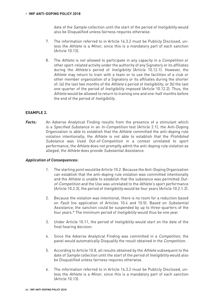date of the Sample collection until the start of the period of Ineligibility would also be Disqualified unless fairness requires otherwise.

- 7. The information referred to in Article 14.3.2 must be Publicly Disclosed, unless the Athlete is a Minor, since this is a mandatory part of each sanction (Article 10.13).
- 8. The Athlete is not allowed to participate in any capacity in a Competition or other sport-related activity under the authority of any Signatory or its affiliates during the Athlete's period of Ineligibility (Article 10.12.1). However, the Athlete may return to train with a team or to use the facilities of a club or other member organization of a Signatory or its affiliates during the shorter of: (a) the last two months of the Athlete's period of Ineligibility, or (b) the last one-quarter of the period of Ineligibility imposed (Article 10.12.2). Thus, the Athlete would be allowed to return to training one and one-half months before the end of the period of Ineligibility.

### **EXAMPLE 2.**

**Facts:** An Adverse Analytical Finding results from the presence of a stimulant which is a Specified Substance in an In-Competition test (Article 2.1); the Anti-Doping Organization is able to establish that the Athlete committed the anti-doping rule violation intentionally; the Athlete is not able to establish that the Prohibited Substance was Used Out-of-Competition in a context unrelated to sport performance; the Athlete does not promptly admit the anti-doping rule violation as alleged; the Athlete does provide Substantial Assistance.

- 1. The starting point would be Article 10.2. Because the Anti-Doping Organization can establish that the anti-doping rule violation was committed intentionally and the Athlete is unable to establish that the substance was permitted Outof-Competition and the Use was unrelated to the Athlete's sport performance (Article 10.2.3), the period of Ineligibility would be four years (Article 10.2.1.2).
- 2. Because the violation was intentional, there is no room for a reduction based on Fault (no application of Articles 10.4 and 10.5). Based on Substantial Assistance, the sanction could be suspended by up to three-quarters of the four years.\* The minimum period of Ineligibility would thus be one year.
- 3. Under Article 10.11, the period of Ineligibility would start on the date of the final hearing decision.
- 4. Since the Adverse Analytical Finding was committed in a Competition, the panel would automatically Disqualify the result obtained in the Competition.
- 5. According to Article 10.8, all results obtained by the Athlete subsequent to the date of Sample collection until the start of the period of Ineligibility would also be Disqualified unless fairness requires otherwise.
- 6. The information referred to in Article 14.3.2 must be Publicly Disclosed, unless the Athlete is a Minor, since this is a mandatory part of each sanction (Article 10.13).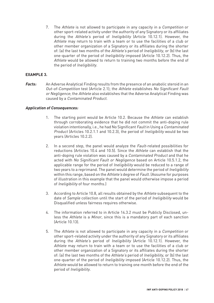7. The Athlete is not allowed to participate in any capacity in a Competition or other sport-related activity under the authority of any Signatory or its affiliates during the Athlete's period of Ineligibility (Article 10.12.1). However, the Athlete may return to train with a team or to use the facilities of a club or other member organization of a Signatory or its affiliates during the shorter of: (a) the last two months of the Athlete's period of Ineligibility, or (b) the last one-quarter of the period of Ineligibility imposed (Article 10.12.2). Thus, the Athlete would be allowed to return to training two months before the end of the period of Ineligibility.

# **EXAMPLE 3.**

**Facts:** An Adverse Analytical Finding results from the presence of an anabolic steroid in an Out-of-Competition test (Article 2.1); the Athlete establishes No Significant Fault or Negligence; the Athlete also establishes that the Adverse Analytical Finding was caused by a Contaminated Product.

- 1. The starting point would be Article 10.2. Because the Athlete can establish through corroborating evidence that he did not commit the anti-doping rule violation intentionally, i.e., he had No Significant Fault in Using a Contaminated Product (Articles 10.2.1.1 and 10.2.3), the period of Ineligibility would be two years (Articles 10.2.2).
- 2. In a second step, the panel would analyze the Fault-related possibilities for reductions (Articles 10.4 and 10.5). Since the Athlete can establish that the anti-doping rule violation was caused by a Contaminated Product and that he acted with No Significant Fault or Negligence based on Article 10.5.1.2, the applicable range for the period of Ineligibility would be reduced to a range of two years to a reprimand. The panel would determine the period of *Ineligibility* within this range, based on the Athlete's degree of Fault. (Assume for purposes of illustration in this example that the panel would otherwise impose a period of Ineligibility of four months.)
- 3. According to Article 10.8, all results obtained by the Athlete subsequent to the date of Sample collection until the start of the period of Ineligibility would be Disqualified unless fairness requires otherwise.
- 4. The information referred to in Article 14.3.2 must be Publicly Disclosed, unless the Athlete is a Minor, since this is a mandatory part of each sanction (Article 10.13).
- 5. The Athlete is not allowed to participate in any capacity in a Competition or other sport-related activity under the authority of any Signatory or its affiliates during the Athlete's period of Ineligibility (Article 10.12.1). However, the Athlete may return to train with a team or to use the facilities of a club or other member organization of a Signatory or its affiliates during the shorter of: (a) the last two months of the Athlete's period of Ineligibility, or (b) the last one-quarter of the period of Ineligibility imposed (Article 10.12.2). Thus, the Athlete would be allowed to return to training one month before the end of the period of Ineligibility.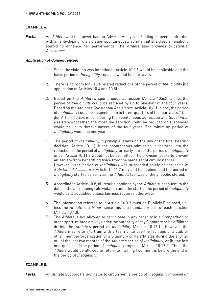#### **EXAMPLE 4.**

**Facts:** An Athlete who has never had an Adverse Analytical Finding or been confronted with an anti-doping rule violation spontaneously admits that she Used an anabolic steroid to enhance her performance. The Athlete also provides Substantial Assistance.

#### **Application of Consequences:**

- 1. Since the violation was intentional, Article 10.2.1 would be applicable and the basic period of Ineligibility imposed would be four years.
- 2. There is no room for Fault-related reductions of the period of Ineligibility (no application of Articles 10.4 and 10.5).
- 3. Based on the Athlete's spontaneous admission (Article 10.6.2) alone, the period of Ineligibility could be reduced by up to one-half of the four years. Based on the Athlete's Substantial Assistance (Article 10.6.1) alone, the period of Ineligibility could be suspended up to three-quarters of the four years.\* Under Article 10.6.4, in considering the spontaneous admission and Substantial Assistance together, the most the sanction could be reduced or suspended would be up to three-quarters of the four years. The minimum period of Ineligibility would be one year.
- 4. The period of Ineligibility, in principle, starts on the day of the final hearing decision (Article 10.11). If the spontaneous admission is factored into the reduction of the period of Ineligibility, an early start of the period of Ineligibility under Article 10.11.2 would not be permitted. The provision seeks to prevent an Athlete from benefitting twice from the same set of circumstances. However, if the period of Ineligibility was suspended solely on the basis of Substantial Assistance, Article 10.11.2 may still be applied, and the period of Ineligibility started as early as the Athlete's last Use of the anabolic steroid.
- 5. According to Article 10.8, all results obtained by the Athlete subsequent to the date of the anti-doping rule violation until the start of the period of Ineligibility would be Disqualified unless fairness requires otherwise.
- 6. The information referred to in Article 14.3.2 must be Publicly Disclosed, unless the Athlete is a Minor, since this is a mandatory part of each sanction (Article 10.13).
- 7. The Athlete is not allowed to participate in any capacity in a Competition or other sport-related activity under the authority of any Signatory or its affiliates during the Athlete's period of Ineligibility (Article 10.12.1). However, the Athlete may return to train with a team or to use the facilities of a club or other member organization of a Signatory or its affiliates during the shorter of: (a) the last two months of the Athlete's period of Ineligibility, or (b) the last one-quarter of the period of Ineligibility imposed (Article 10.12.2). Thus, the Athlete would be allowed to return to training two months before the end of the period of Ineligibility.

#### **EXAMPLE 5.**

**Facts:** An Athlete Support Person helps to circumvent a period of Ineligibility imposed on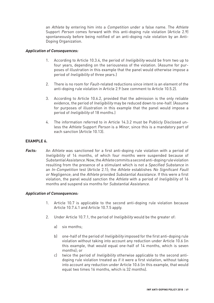an Athlete by entering him into a *Competition* under a false name. The Athlete Support Person comes forward with this anti-doping rule violation (Article 2.9) spontaneously before being notified of an anti-doping rule violation by an Anti-Doping Organization.

# **Application of Consequences:**

- 1. According to Article 10.3.4, the period of Ineligibility would be from two up to four years, depending on the seriousness of the violation. (Assume for purposes of illustration in this example that the panel would otherwise impose a period of Ineligibility of three years.)
- 2. There is no room for *Fault-related reductions since intent is an element of the* anti-doping rule violation in Article 2.9 (see comment to Article 10.5.2).
- 3. According to Article 10.6.2, provided that the admission is the only reliable evidence, the period of Ineligibility may be reduced down to one-half. (Assume for purposes of illustration in this example that the panel would impose a period of Ineligibility of 18 months.)
- 4. The information referred to in Article 14.3.2 must be Publicly Disclosed unless the Athlete Support Person is a Minor, since this is a mandatory part of each sanction (Article 10.13).

# **EXAMPLE 6.**

**Facts:** An Athlete was sanctioned for a first anti-doping rule violation with a period of Ineligibility of 14 months, of which four months were suspended because of Substantial Assistance. Now, the Athlete commits a second anti-doping rule violation resulting from the presence of a stimulant which is not a Specified Substance in an In-Competition test (Article 2.1); the Athlete establishes No Significant Fault or Negligence; and the Athlete provided Substantial Assistance. If this were a first violation, the panel would sanction the Athlete with a period of Ineligibility of 16 months and suspend six months for Substantial Assistance.

- 1. Article 10.7 is applicable to the second anti-doping rule violation because Article 10.7.4.1 and Article 10.7.5 apply.
- 2. Under Article 10.7.1, the period of Ineligibility would be the greater of:
	- a) six months;
	- b) one-half of the period of *Ineligibility* imposed for the first anti-doping rule violation without taking into account any reduction under Article 10.6 (in this example, that would equal one-half of 14 months, which is seven months); or
	- c) twice the period of Ineligibility otherwise applicable to the second antidoping rule violation treated as if it were a first violation, without taking into account any reduction under Article 10.6 (in this example, that would equal two times 16 months, which is 32 months).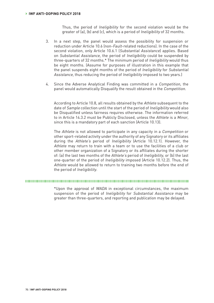Thus, the period of Ineligibility for the second violation would be the greater of (a), (b) and (c), which is a period of Ineligibility of 32 months.

- 3. In a next step, the panel would assess the possibility for suspension or reduction under Article 10.6 (non-Fault-related reductions). In the case of the second violation, only Article 10.6.1 (Substantial Assistance) applies. Based on Substantial Assistance, the period of Ineligibility could be suspended by three-quarters of 32 months.\* The minimum period of Ineligibility would thus be eight months. (Assume for purposes of illustration in this example that the panel suspends eight months of the period of Ineligibility for Substantial Assistance, thus reducing the period of *Ineligibility* imposed to two years.)
- 4. Since the Adverse Analytical Finding was committed in a Competition, the panel would automatically Disqualify the result obtained in the Competition.

According to Article 10.8, all results obtained by the Athlete subsequent to the date of Sample collection until the start of the period of Ineligibility would also be Disqualified unless fairness requires otherwise. The information referred to in Article 14.3.2 must be Publicly Disclosed, unless the Athlete is a Minor, since this is a mandatory part of each sanction (Article 10.13).

The Athlete is not allowed to participate in any capacity in a Competition or other sport-related activity under the authority of any Signatory or its affiliates during the Athlete's period of Ineligibility (Article 10.12.1). However, the Athlete may return to train with a team or to use the facilities of a club or other member organization of a Signatory or its affiliates during the shorter of: (a) the last two months of the Athlete's period of Ineligibility, or (b) the last one-quarter of the period of Ineligibility imposed (Article 10.12.2). Thus, the Athlete would be allowed to return to training two months before the end of the period of Ineligibility.

\*Upon the approval of WADA in exceptional circumstances, the maximum suspension of the period of Ineligibility for Substantial Assistance may be greater than three-quarters, and reporting and publication may be delayed.